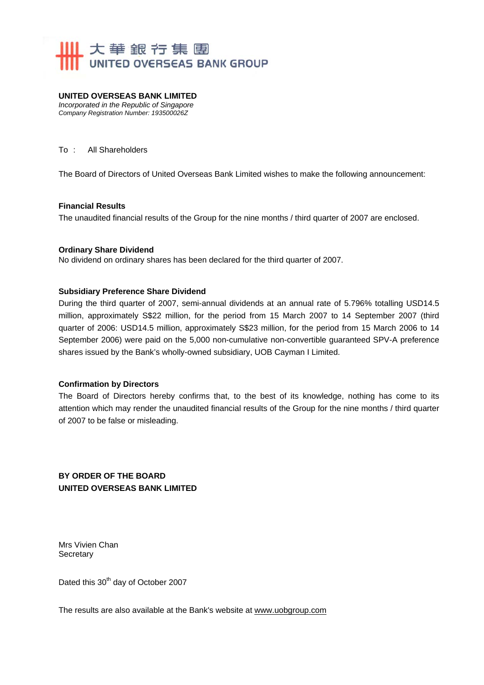

# **UNITED OVERSEAS BANK LIMITED**

*Incorporated in the Republic of Singapore Company Registration Number: 193500026Z* 

#### To : All Shareholders

The Board of Directors of United Overseas Bank Limited wishes to make the following announcement:

#### **Financial Results**

The unaudited financial results of the Group for the nine months / third quarter of 2007 are enclosed.

#### **Ordinary Share Dividend**

No dividend on ordinary shares has been declared for the third quarter of 2007.

#### **Subsidiary Preference Share Dividend**

During the third quarter of 2007, semi-annual dividends at an annual rate of 5.796% totalling USD14.5 million, approximately S\$22 million, for the period from 15 March 2007 to 14 September 2007 (third quarter of 2006: USD14.5 million, approximately S\$23 million, for the period from 15 March 2006 to 14 September 2006) were paid on the 5,000 non-cumulative non-convertible guaranteed SPV-A preference shares issued by the Bank's wholly-owned subsidiary, UOB Cayman I Limited.

#### **Confirmation by Directors**

The Board of Directors hereby confirms that, to the best of its knowledge, nothing has come to its attention which may render the unaudited financial results of the Group for the nine months / third quarter of 2007 to be false or misleading.

**BY ORDER OF THE BOARD UNITED OVERSEAS BANK LIMITED** 

Mrs Vivien Chan **Secretary** 

Dated this 30<sup>th</sup> day of October 2007

The results are also available at the Bank's website at www.uobgroup.com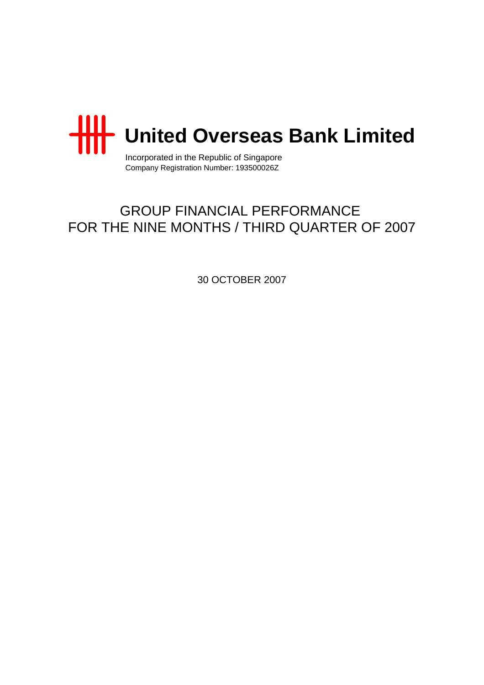

Incorporated in the Republic of Singapore Company Registration Number: 193500026Z

# GROUP FINANCIAL PERFORMANCE FOR THE NINE MONTHS / THIRD QUARTER OF 2007

30 OCTOBER 2007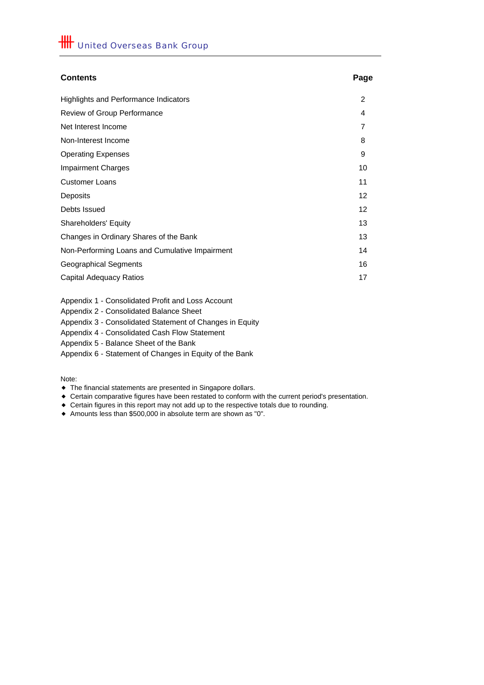# **Contents Page** Highlights and Performance Indicators 2 Review of Group Performance 4 Net Interest Income 7 Non-Interest Income 8 Operating Expenses 9 **Impairment Charges 10** 10 **Customer Loans** 11 Deposits 12 Debts Issued 12 Shareholders' Equity 13 Changes in Ordinary Shares of the Bank 13 Non-Performing Loans and Cumulative Impairment 14 Geographical Segments 16 Capital Adequacy Ratios 17

Appendix 1 - Consolidated Profit and Loss Account

Appendix 2 - Consolidated Balance Sheet

Appendix 3 - Consolidated Statement of Changes in Equity

Appendix 4 - Consolidated Cash Flow Statement

Appendix 5 - Balance Sheet of the Bank

Appendix 6 - Statement of Changes in Equity of the Bank

Note:

- The financial statements are presented in Singapore dollars.
- Certain comparative figures have been restated to conform with the current period's presentation.
- Certain figures in this report may not add up to the respective totals due to rounding.
- Amounts less than \$500,000 in absolute term are shown as "0".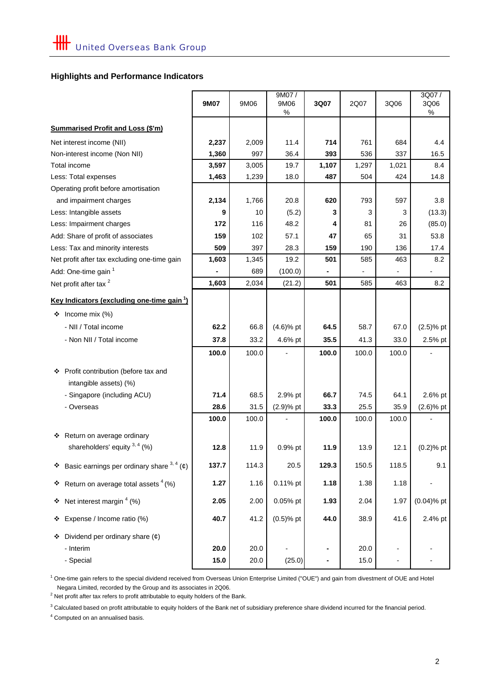# **Highlights and Performance Indicators**

|                                                                 | <b>9M07</b> | 9M06  | 9M07/<br>9M06<br>$\%$ | 3Q07  | 2Q07  | 3Q06  | 3Q07/<br>3Q06<br>$\%$ |
|-----------------------------------------------------------------|-------------|-------|-----------------------|-------|-------|-------|-----------------------|
| <b>Summarised Profit and Loss (\$'m)</b>                        |             |       |                       |       |       |       |                       |
| Net interest income (NII)                                       | 2,237       | 2,009 | 11.4                  | 714   | 761   | 684   | 4.4                   |
| Non-interest income (Non NII)                                   | 1,360       | 997   | 36.4                  | 393   | 536   | 337   | 16.5                  |
| Total income                                                    | 3,597       | 3,005 | 19.7                  | 1,107 | 1,297 | 1,021 | 8.4                   |
| Less: Total expenses                                            | 1,463       | 1,239 | 18.0                  | 487   | 504   | 424   | 14.8                  |
| Operating profit before amortisation                            |             |       |                       |       |       |       |                       |
| and impairment charges                                          | 2,134       | 1,766 | 20.8                  | 620   | 793   | 597   | 3.8                   |
| Less: Intangible assets                                         | 9           | 10    | (5.2)                 | 3     | 3     | 3     | (13.3)                |
| Less: Impairment charges                                        | 172         | 116   | 48.2                  | 4     | 81    | 26    | (85.0)                |
| Add: Share of profit of associates                              | 159         | 102   | 57.1                  | 47    | 65    | 31    | 53.8                  |
| Less: Tax and minority interests                                | 509         | 397   | 28.3                  | 159   | 190   | 136   | 17.4                  |
| Net profit after tax excluding one-time gain                    | 1,603       | 1,345 | 19.2                  | 501   | 585   | 463   | 8.2                   |
| Add: One-time gain <sup>1</sup>                                 |             | 689   | (100.0)               |       |       |       |                       |
| Net profit after tax <sup>2</sup>                               | 1,603       | 2,034 | (21.2)                | 501   | 585   | 463   | 8.2                   |
| <u>Key Indicators (excluding one-time gain 1)</u>               |             |       |                       |       |       |       |                       |
| Income mix $(\%)$<br>❖                                          |             |       |                       |       |       |       |                       |
| - NII / Total income                                            | 62.2        | 66.8  | $(4.6)$ % pt          | 64.5  | 58.7  | 67.0  | $(2.5)$ % pt          |
| - Non NII / Total income                                        | 37.8        | 33.2  | 4.6% pt               | 35.5  | 41.3  | 33.0  | 2.5% pt               |
|                                                                 | 100.0       | 100.0 |                       | 100.0 | 100.0 | 100.0 |                       |
| ❖ Profit contribution (before tax and<br>intangible assets) (%) |             |       |                       |       |       |       |                       |
| - Singapore (including ACU)                                     | 71.4        | 68.5  | 2.9% pt               | 66.7  | 74.5  | 64.1  | 2.6% pt               |
| - Overseas                                                      | 28.6        | 31.5  | $(2.9)$ % pt          | 33.3  | 25.5  | 35.9  | $(2.6)$ % pt          |
|                                                                 | 100.0       | 100.0 |                       | 100.0 | 100.0 | 100.0 |                       |
| Return on average ordinary<br>❖                                 |             |       |                       |       |       |       |                       |
| shareholders' equity $3, 4$ (%)                                 | 12.8        | 11.9  | 0.9% pt               | 11.9  | 13.9  | 12.1  | $(0.2)$ % pt          |
| <b>→</b> Basic earnings per ordinary share $3, 4$ (¢)           | 137.7       | 114.3 | 20.5                  | 129.3 | 150.5 | 118.5 | 9.1                   |
| <b>❖</b> Return on average total assets $^{4}$ (%)              | 1.27        | 1.16  | 0.11% pt              | 1.18  | 1.38  | 1.18  |                       |
| Net interest margin $4$ (%)<br>❖                                | 2.05        | 2.00  | 0.05% pt              | 1.93  | 2.04  | 1.97  | $(0.04)$ % pt         |
| Expense / Income ratio (%)<br>❖                                 | 40.7        | 41.2  | $(0.5)$ % pt          | 44.0  | 38.9  | 41.6  | 2.4% pt               |
| Dividend per ordinary share $(\phi)$<br>❖                       |             |       |                       |       |       |       |                       |
| - Interim                                                       | 20.0        | 20.0  |                       |       | 20.0  |       |                       |
| - Special                                                       | 15.0        | 20.0  | (25.0)                |       | 15.0  |       |                       |

 Negara Limited, recorded by the Group and its associates in 2Q06. <sup>1</sup> One-time gain refers to the special dividend received from Overseas Union Enterprise Limited ("OUE") and gain from divestment of OUE and Hotel

 $2$  Net profit after tax refers to profit attributable to equity holders of the Bank.

 $3$  Calculated based on profit attributable to equity holders of the Bank net of subsidiary preference share dividend incurred for the financial period.

<sup>4</sup> Computed on an annualised basis.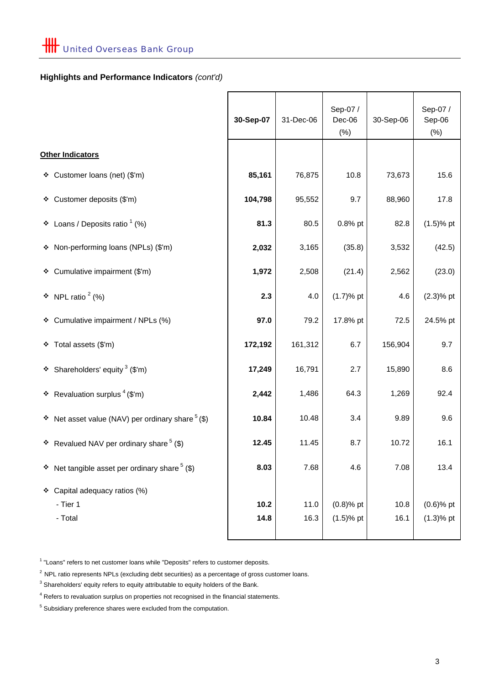# **Highlights and Performance Indicators** *(cont'd)*

|                                                           | 30-Sep-07 | 31-Dec-06 | Sep-07 /<br>Dec-06<br>$(\%)$ | 30-Sep-06 | Sep-07 /<br>Sep-06<br>$(\%)$ |
|-----------------------------------------------------------|-----------|-----------|------------------------------|-----------|------------------------------|
| Other Indicators                                          |           |           |                              |           |                              |
| ❖ Customer loans (net) (\$'m)                             | 85,161    | 76,875    | 10.8                         | 73,673    | 15.6                         |
| ❖ Customer deposits (\$'m)                                | 104,798   | 95,552    | 9.7                          | 88,960    | 17.8                         |
| ❖ Loans / Deposits ratio $(%$                             | 81.3      | 80.5      | 0.8% pt                      | 82.8      | $(1.5)$ % pt                 |
| * Non-performing loans (NPLs) (\$'m)                      | 2,032     | 3,165     | (35.8)                       | 3,532     | (42.5)                       |
| ❖ Cumulative impairment (\$'m)                            | 1,972     | 2,508     | (21.4)                       | 2,562     | (23.0)                       |
| $\cdot \cdot$ NPL ratio $^2$ (%)                          | 2.3       | 4.0       | $(1.7)$ % pt                 | 4.6       | $(2.3)$ % pt                 |
| ❖ Cumulative impairment / NPLs (%)                        | 97.0      | 79.2      | 17.8% pt                     | 72.5      | 24.5% pt                     |
| ❖ Total assets (\$'m)                                     | 172,192   | 161,312   | 6.7                          | 156,904   | 9.7                          |
| ❖ Shareholders' equity $3$ (\$'m)                         | 17,249    | 16,791    | 2.7                          | 15,890    | 8.6                          |
| <b>*</b> Revaluation surplus $($ math> ( $\mathsf{S}'$ m) | 2,442     | 1,486     | 64.3                         | 1,269     | 92.4                         |
| ❖ Net asset value (NAV) per ordinary share $5$ (\$)       | 10.84     | 10.48     | 3.4                          | 9.89      | 9.6                          |
| ❖ Revalued NAV per ordinary share $5$ (\$)                | 12.45     | 11.45     | 8.7                          | 10.72     | 16.1                         |
| <b>↓</b> Net tangible asset per ordinary share $($ \$)    | 8.03      | 7.68      | 4.6                          | 7.08      | 13.4                         |
| ❖ Capital adequacy ratios (%)                             |           |           |                              |           |                              |
| - Tier 1                                                  | 10.2      | 11.0      | $(0.8)$ % pt                 | 10.8      | $(0.6)$ % pt                 |
| - Total                                                   | 14.8      | 16.3      | $(1.5)$ % pt                 | 16.1      | $(1.3)$ % pt                 |
|                                                           |           |           |                              |           |                              |

<sup>1</sup> "Loans" refers to net customer loans while "Deposits" refers to customer deposits.

 $2$  NPL ratio represents NPLs (excluding debt securities) as a percentage of gross customer loans.

 $3$  Shareholders' equity refers to equity attributable to equity holders of the Bank.

<sup>&</sup>lt;sup>4</sup> Refers to revaluation surplus on properties not recognised in the financial statements.

<sup>&</sup>lt;sup>5</sup> Subsidiary preference shares were excluded from the computation.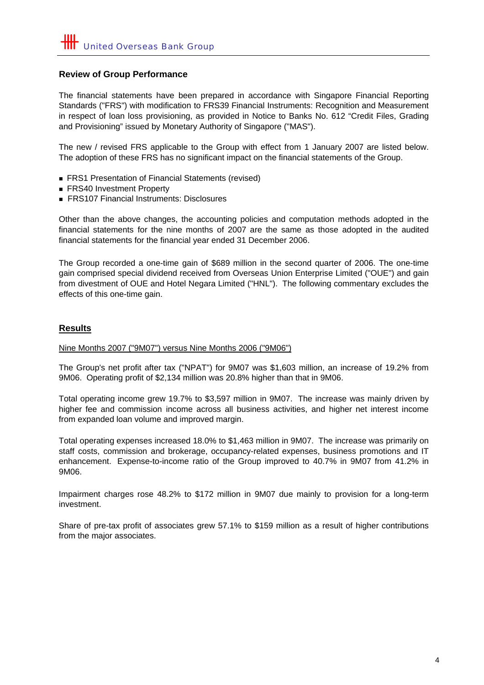# **Review of Group Performance**

The financial statements have been prepared in accordance with Singapore Financial Reporting Standards ("FRS") with modification to FRS39 Financial Instruments: Recognition and Measurement in respect of loan loss provisioning, as provided in Notice to Banks No. 612 "Credit Files, Grading and Provisioning" issued by Monetary Authority of Singapore ("MAS").

The new / revised FRS applicable to the Group with effect from 1 January 2007 are listed below. The adoption of these FRS has no significant impact on the financial statements of the Group.

- FRS1 Presentation of Financial Statements (revised)
- FRS40 Investment Property
- FRS107 Financial Instruments: Disclosures

Other than the above changes, the accounting policies and computation methods adopted in the financial statements for the nine months of 2007 are the same as those adopted in the audited financial statements for the financial year ended 31 December 2006.

The Group recorded a one-time gain of \$689 million in the second quarter of 2006. The one-time gain comprised special dividend received from Overseas Union Enterprise Limited ("OUE") and gain from divestment of OUE and Hotel Negara Limited ("HNL"). The following commentary excludes the effects of this one-time gain.

#### **Results**

#### Nine Months 2007 ("9M07") versus Nine Months 2006 ("9M06")

The Group's net profit after tax ("NPAT") for 9M07 was \$1,603 million, an increase of 19.2% from 9M06. Operating profit of \$2,134 million was 20.8% higher than that in 9M06.

Total operating income grew 19.7% to \$3,597 million in 9M07. The increase was mainly driven by higher fee and commission income across all business activities, and higher net interest income from expanded loan volume and improved margin.

Total operating expenses increased 18.0% to \$1,463 million in 9M07. The increase was primarily on staff costs, commission and brokerage, occupancy-related expenses, business promotions and IT enhancement. Expense-to-income ratio of the Group improved to 40.7% in 9M07 from 41.2% in 9M06.

Impairment charges rose 48.2% to \$172 million in 9M07 due mainly to provision for a long-term investment.

Share of pre-tax profit of associates grew 57.1% to \$159 million as a result of higher contributions from the major associates.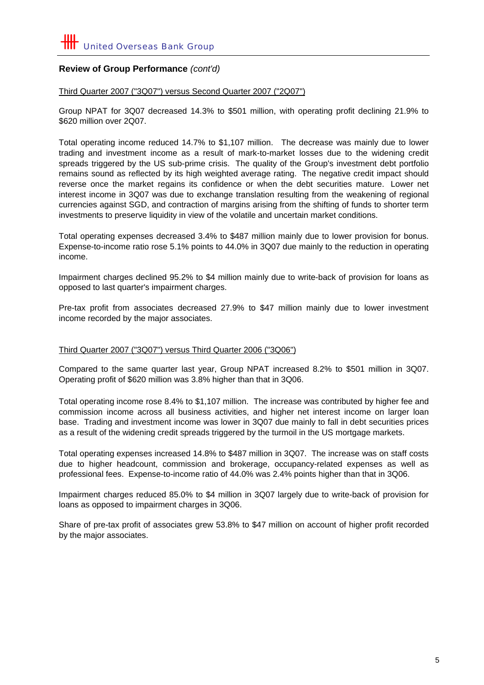# **Review of Group Performance** *(cont'd)*

#### Third Quarter 2007 ("3Q07") versus Second Quarter 2007 ("2Q07")

Group NPAT for 3Q07 decreased 14.3% to \$501 million, with operating profit declining 21.9% to \$620 million over 2Q07.

Total operating income reduced 14.7% to \$1,107 million. The decrease was mainly due to lower trading and investment income as a result of mark-to-market losses due to the widening credit spreads triggered by the US sub-prime crisis. The quality of the Group's investment debt portfolio remains sound as reflected by its high weighted average rating. The negative credit impact should reverse once the market regains its confidence or when the debt securities mature. Lower net interest income in 3Q07 was due to exchange translation resulting from the weakening of regional currencies against SGD, and contraction of margins arising from the shifting of funds to shorter term investments to preserve liquidity in view of the volatile and uncertain market conditions.

Total operating expenses decreased 3.4% to \$487 million mainly due to lower provision for bonus. Expense-to-income ratio rose 5.1% points to 44.0% in 3Q07 due mainly to the reduction in operating income.

Impairment charges declined 95.2% to \$4 million mainly due to write-back of provision for loans as opposed to last quarter's impairment charges.

Pre-tax profit from associates decreased 27.9% to \$47 million mainly due to lower investment income recorded by the major associates.

#### Third Quarter 2007 ("3Q07") versus Third Quarter 2006 ("3Q06")

Compared to the same quarter last year, Group NPAT increased 8.2% to \$501 million in 3Q07. Operating profit of \$620 million was 3.8% higher than that in 3Q06.

Total operating income rose 8.4% to \$1,107 million. The increase was contributed by higher fee and commission income across all business activities, and higher net interest income on larger loan base. Trading and investment income was lower in 3Q07 due mainly to fall in debt securities prices as a result of the widening credit spreads triggered by the turmoil in the US mortgage markets.

Total operating expenses increased 14.8% to \$487 million in 3Q07. The increase was on staff costs due to higher headcount, commission and brokerage, occupancy-related expenses as well as professional fees. Expense-to-income ratio of 44.0% was 2.4% points higher than that in 3Q06.

Impairment charges reduced 85.0% to \$4 million in 3Q07 largely due to write-back of provision for loans as opposed to impairment charges in 3Q06.

Share of pre-tax profit of associates grew 53.8% to \$47 million on account of higher profit recorded by the major associates.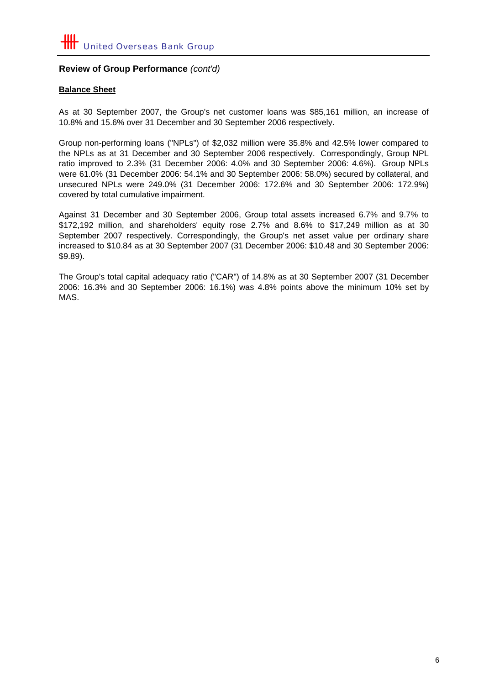# **Review of Group Performance** *(cont'd)*

#### **Balance Sheet**

As at 30 September 2007, the Group's net customer loans was \$85,161 million, an increase of 10.8% and 15.6% over 31 December and 30 September 2006 respectively.

Group non-performing loans ("NPLs") of \$2,032 million were 35.8% and 42.5% lower compared to the NPLs as at 31 December and 30 September 2006 respectively. Correspondingly, Group NPL ratio improved to 2.3% (31 December 2006: 4.0% and 30 September 2006: 4.6%). Group NPLs were 61.0% (31 December 2006: 54.1% and 30 September 2006: 58.0%) secured by collateral, and unsecured NPLs were 249.0% (31 December 2006: 172.6% and 30 September 2006: 172.9%) covered by total cumulative impairment.

Against 31 December and 30 September 2006, Group total assets increased 6.7% and 9.7% to \$172,192 million, and shareholders' equity rose 2.7% and 8.6% to \$17,249 million as at 30 September 2007 respectively. Correspondingly, the Group's net asset value per ordinary share increased to \$10.84 as at 30 September 2007 (31 December 2006: \$10.48 and 30 September 2006: \$9.89).

The Group's total capital adequacy ratio ("CAR") of 14.8% as at 30 September 2007 (31 December 2006: 16.3% and 30 September 2006: 16.1%) was 4.8% points above the minimum 10% set by MAS.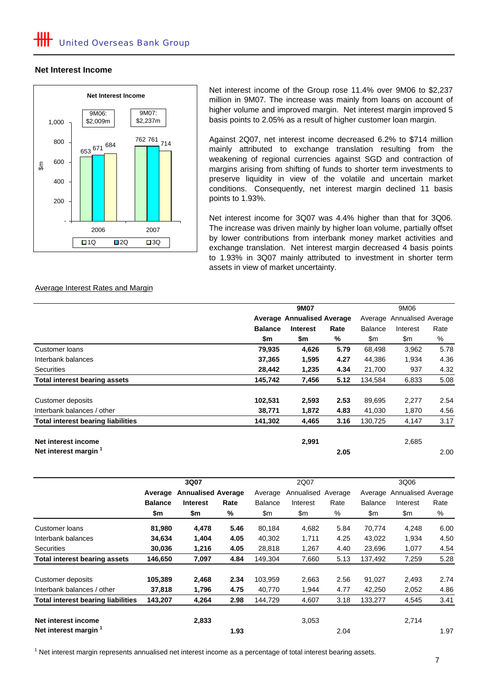#### **Net Interest Income**



Net interest income of the Group rose 11.4% over 9M06 to \$2,237 million in 9M07. The increase was mainly from loans on account of higher volume and improved margin. Net interest margin improved 5 basis points to 2.05% as a result of higher customer loan margin.

Against 2Q07, net interest income decreased 6.2% to \$714 million mainly attributed to exchange translation resulting from the weakening of regional currencies against SGD and contraction of margins arising from shifting of funds to shorter term investments to preserve liquidity in view of the volatile and uncertain market conditions. Consequently, net interest margin declined 11 basis points to 1.93%.

Net interest income for 3Q07 was 4.4% higher than that for 3Q06. The increase was driven mainly by higher loan volume, partially offset by lower contributions from interbank money market activities and exchange translation. Net interest margin decreased 4 basis points to 1.93% in 3Q07 mainly attributed to investment in shorter term assets in view of market uncertainty.

#### Average Interest Rates and Margin

|                                           |                                   | 9M06            |      |                |                            |      |  |
|-------------------------------------------|-----------------------------------|-----------------|------|----------------|----------------------------|------|--|
|                                           | <b>Average Annualised Average</b> |                 |      |                | Average Annualised Average |      |  |
|                                           | <b>Balance</b>                    | <b>Interest</b> | Rate | <b>Balance</b> | Interest                   | Rate |  |
|                                           | \$m                               | \$m             | %    | \$m            | \$m                        | %    |  |
| Customer loans                            | 79,935                            | 4,626           | 5.79 | 68,498         | 3,962                      | 5.78 |  |
| Interbank balances                        | 37,365                            | 1,595           | 4.27 | 44.386         | 1,934                      | 4.36 |  |
| <b>Securities</b>                         | 28,442                            | 1,235           | 4.34 | 21,700         | 937                        | 4.32 |  |
| <b>Total interest bearing assets</b>      | 145,742                           | 7,456           | 5.12 | 134,584        | 6,833                      | 5.08 |  |
| Customer deposits                         | 102,531                           | 2,593           | 2.53 | 89,695         | 2,277                      | 2.54 |  |
| Interbank balances / other                | 38,771                            | 1,872           | 4.83 | 41,030         | 1,870                      | 4.56 |  |
| <b>Total interest bearing liabilities</b> | 141,302                           | 4,465           | 3.16 | 130,725        | 4,147                      | 3.17 |  |
| Net interest income                       |                                   | 2,991           |      |                | 2,685                      |      |  |
| Net interest margin <sup>1</sup>          |                                   |                 | 2.05 |                |                            | 2.00 |  |

|                                           |                | 3Q07                      |      | 2Q07           |            |         | 3Q06           |                    |      |
|-------------------------------------------|----------------|---------------------------|------|----------------|------------|---------|----------------|--------------------|------|
|                                           | Average        | <b>Annualised Average</b> |      | Average        | Annualised | Average | Average        | Annualised Average |      |
|                                           | <b>Balance</b> | <b>Interest</b>           | Rate | <b>Balance</b> | Interest   | Rate    | <b>Balance</b> | Interest           | Rate |
|                                           | \$m            | \$m                       | %    | \$m            | \$m        | %       | \$m            | \$m                | %    |
| Customer loans                            | 81,980         | 4,478                     | 5.46 | 80,184         | 4,682      | 5.84    | 70.774         | 4,248              | 6.00 |
| Interbank balances                        | 34,634         | 1,404                     | 4.05 | 40,302         | 1,711      | 4.25    | 43,022         | 1,934              | 4.50 |
| <b>Securities</b>                         | 30,036         | 1,216                     | 4.05 | 28,818         | 1,267      | 4.40    | 23,696         | 1,077              | 4.54 |
| <b>Total interest bearing assets</b>      | 146,650        | 7,097                     | 4.84 | 149,304        | 7,660      | 5.13    | 137,492        | 7,259              | 5.28 |
| Customer deposits                         | 105,389        | 2,468                     | 2.34 | 103,959        | 2,663      | 2.56    | 91,027         | 2,493              | 2.74 |
| Interbank balances / other                | 37,818         | 1,796                     | 4.75 | 40,770         | 1,944      | 4.77    | 42,250         | 2,052              | 4.86 |
| <b>Total interest bearing liabilities</b> | 143,207        | 4,264                     | 2.98 | 144,729        | 4,607      | 3.18    | 133,277        | 4,545              | 3.41 |
| Net interest income                       |                | 2,833                     |      |                | 3,053      |         |                | 2,714              |      |
| Net interest margin <sup>1</sup>          |                |                           | 1.93 |                |            | 2.04    |                |                    | 1.97 |

 $1$  Net interest margin represents annualised net interest income as a percentage of total interest bearing assets.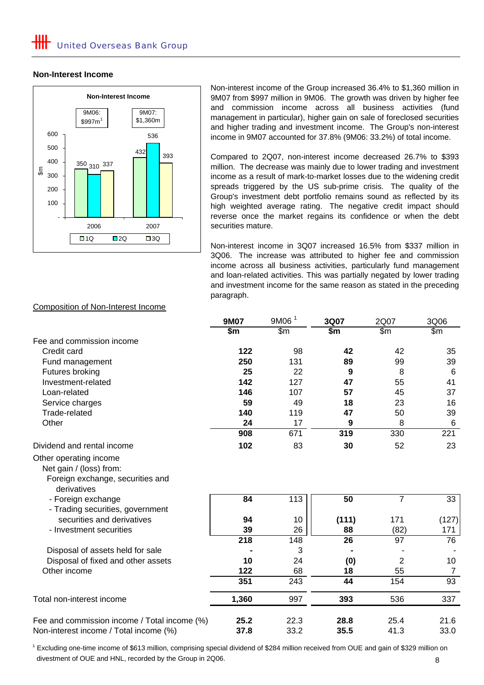#### **Non-Interest Income**



Non-interest income of the Group increased 36.4% to \$1,360 million in 9M07 from \$997 million in 9M06. The growth was driven by higher fee and commission income across all business activities (fund management in particular), higher gain on sale of foreclosed securities and higher trading and investment income. The Group's non-interest income in 9M07 accounted for 37.8% (9M06: 33.2%) of total income.

Compared to 2Q07, non-interest income decreased 26.7% to \$393 million. The decrease was mainly due to lower trading and investment income as a result of mark-to-market losses due to the widening credit spreads triggered by the US sub-prime crisis. The quality of the Group's investment debt portfolio remains sound as reflected by its high weighted average rating. The negative credit impact should reverse once the market regains its confidence or when the debt securities mature.

Non-interest income in 3Q07 increased 16.5% from \$337 million in 3Q06. The increase was attributed to higher fee and commission income across all business activities, particularly fund management and loan-related activities. This was partially negated by lower trading and investment income for the same reason as stated in the preceding paragraph.

|                                                                                                      | <b>9M07</b>      | 9M06 <sup>1</sup> | 3Q07            | 2Q07            | 3Q06            |
|------------------------------------------------------------------------------------------------------|------------------|-------------------|-----------------|-----------------|-----------------|
|                                                                                                      | \$m\$            | $\mathsf{Sm}$     | \$m             | $\mathsf{Sm}$   | $\mathsf{Sm}$   |
| Fee and commission income                                                                            |                  |                   |                 |                 |                 |
| Credit card                                                                                          | 122              | 98                | 42              | 42              | 35              |
| Fund management                                                                                      | 250              | 131               | 89              | 99              | 39              |
| Futures broking                                                                                      | 25               | 22                | 9               | 8               | 6               |
| Investment-related                                                                                   | 142              | 127               | 47              | 55              | 41              |
| Loan-related                                                                                         | 146              | 107               | 57              | 45              | 37              |
| Service charges                                                                                      | 59               | 49                | 18              | 23              | 16              |
| Trade-related                                                                                        | 140              | 119               | 47              | 50              | 39              |
| Other                                                                                                | 24               | 17                | 9               | 8               | 6               |
|                                                                                                      | 908              | 671               | 319             | 330             | 221             |
| Dividend and rental income                                                                           | 102              | 83                | 30              | 52              | 23              |
| Other operating income<br>Net gain / (loss) from:<br>Foreign exchange, securities and<br>derivatives |                  |                   |                 |                 |                 |
| - Foreign exchange<br>- Trading securities, government                                               | $\overline{84}$  | 113               | 50              | $\overline{7}$  | $\overline{33}$ |
| securities and derivatives                                                                           | 94               | 10                | (111)           | 171             | (127)           |
| - Investment securities                                                                              | 39               | 26                | 88              | (82)            | 171             |
|                                                                                                      | $\overline{218}$ | 148               | $\overline{26}$ | $\overline{97}$ | $\overline{76}$ |
| Disposal of assets held for sale                                                                     |                  | 3                 |                 |                 |                 |
| Disposal of fixed and other assets                                                                   | 10               | 24                | (0)             | $\overline{2}$  | 10              |
| Other income                                                                                         | 122              | 68                | 18              | 55              | $\overline{7}$  |
|                                                                                                      | 351              | 243               | 44              | 154             | 93              |
| Total non-interest income                                                                            | 1,360            | 997               | 393             | 536             | 337             |
| Fee and commission income / Total income (%)                                                         | 25.2             | 22.3              | 28.8            | 25.4            | 21.6            |
| Non-interest income / Total income (%)                                                               | 37.8             | 33.2              | 35.5            | 41.3            | 33.0            |

#### Composition of Non-Interest Income

 divestment of OUE and HNL, recorded by the Group in 2Q06. <sup>1</sup> Excluding one-time income of \$613 million, comprising special dividend of \$284 million received from OUE and gain of \$329 million on 8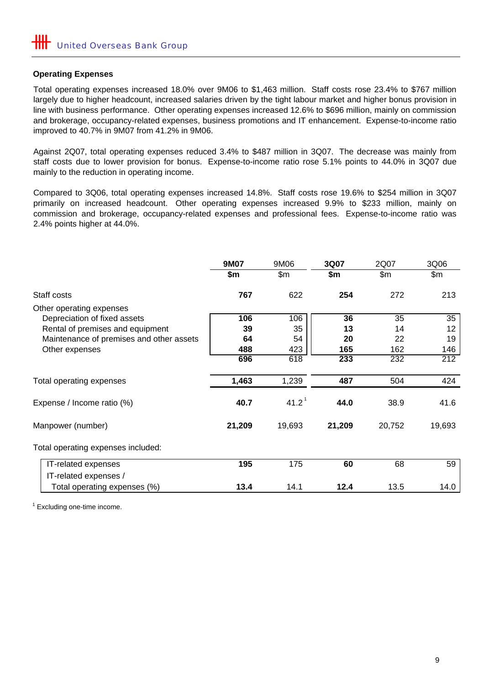#### **Operating Expenses**

Total operating expenses increased 18.0% over 9M06 to \$1,463 million. Staff costs rose 23.4% to \$767 million largely due to higher headcount, increased salaries driven by the tight labour market and higher bonus provision in line with business performance. Other operating expenses increased 12.6% to \$696 million, mainly on commission and brokerage, occupancy-related expenses, business promotions and IT enhancement. Expense-to-income ratio improved to 40.7% in 9M07 from 41.2% in 9M06.

Against 2Q07, total operating expenses reduced 3.4% to \$487 million in 3Q07. The decrease was mainly from staff costs due to lower provision for bonus. Expense-to-income ratio rose 5.1% points to 44.0% in 3Q07 due mainly to the reduction in operating income.

Compared to 3Q06, total operating expenses increased 14.8%. Staff costs rose 19.6% to \$254 million in 3Q07 primarily on increased headcount. Other operating expenses increased 9.9% to \$233 million, mainly on commission and brokerage, occupancy-related expenses and professional fees. Expense-to-income ratio was 2.4% points higher at 44.0%.

|                                          | <b>9M07</b> | 9M06              | 3Q07   | 2Q07   | 3Q06   |
|------------------------------------------|-------------|-------------------|--------|--------|--------|
|                                          | \$m         | \$m\$             | \$m    | \$m\$  | \$m\$  |
| Staff costs                              | 767         | 622               | 254    | 272    | 213    |
| Other operating expenses                 |             |                   |        |        |        |
| Depreciation of fixed assets             | 106         | 106               | 36     | 35     | 35     |
| Rental of premises and equipment         | 39          | 35                | 13     | 14     | 12     |
| Maintenance of premises and other assets | 64          | 54                | 20     | 22     | 19     |
| Other expenses                           | 488         | 423               | 165    | 162    | 146    |
|                                          | 696         | 618               | 233    | 232    | 212    |
| Total operating expenses                 | 1,463       | 1,239             | 487    | 504    | 424    |
| Expense / Income ratio (%)               | 40.7        | 41.2 <sup>1</sup> | 44.0   | 38.9   | 41.6   |
| Manpower (number)                        | 21,209      | 19,693            | 21,209 | 20,752 | 19,693 |
| Total operating expenses included:       |             |                   |        |        |        |
| IT-related expenses                      | 195         | 175               | 60     | 68     | 59     |
| IT-related expenses /                    |             |                   |        |        |        |
| Total operating expenses (%)             | 13.4        | 14.1              | 12.4   | 13.5   | 14.0   |

 $1$  Excluding one-time income.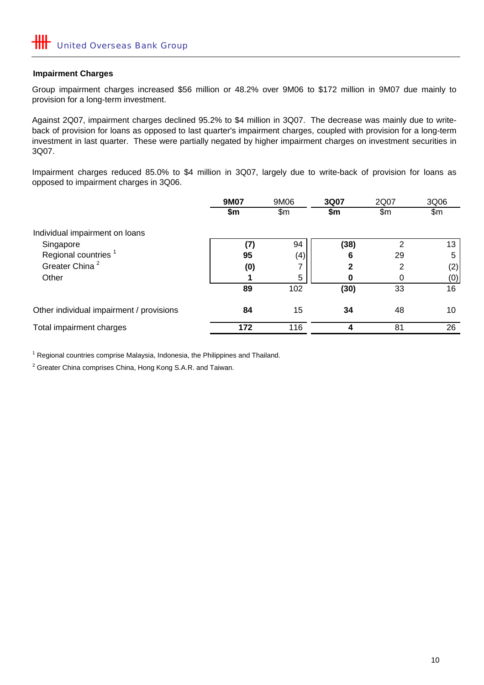#### **Impairment Charges**

Group impairment charges increased \$56 million or 48.2% over 9M06 to \$172 million in 9M07 due mainly to provision for a long-term investment.

Against 2Q07, impairment charges declined 95.2% to \$4 million in 3Q07. The decrease was mainly due to writeback of provision for loans as opposed to last quarter's impairment charges, coupled with provision for a long-term investment in last quarter. These were partially negated by higher impairment charges on investment securities in 3Q07.

Impairment charges reduced 85.0% to \$4 million in 3Q07, largely due to write-back of provision for loans as opposed to impairment charges in 3Q06.

|                                          | 9M07 | 9M06          | 3Q07         | 2Q07 | 3Q06            |
|------------------------------------------|------|---------------|--------------|------|-----------------|
|                                          | \$m  | $\mathsf{Sm}$ | \$m          | \$m  | $\mathsf{Sm}$   |
| Individual impairment on loans           |      |               |              |      |                 |
| Singapore                                | (7)  | 94            | (38)         | っ    | 13 <sup>1</sup> |
| Regional countries <sup>1</sup>          | 95   | (4)           | 6            | 29   | 5               |
| Greater China <sup>2</sup>               | (0)  |               | $\mathbf{2}$ | 2    | (2)             |
| Other                                    |      | 5             |              | 0    | (0)             |
|                                          | 89   | 102           | (30)         | 33   | 16              |
| Other individual impairment / provisions | 84   | 15            | 34           | 48   | 10              |
| Total impairment charges                 | 172  | 116           | 4            | 81   | 26              |

<sup>1</sup> Regional countries comprise Malaysia, Indonesia, the Philippines and Thailand.

 $2$  Greater China comprises China, Hong Kong S.A.R. and Taiwan.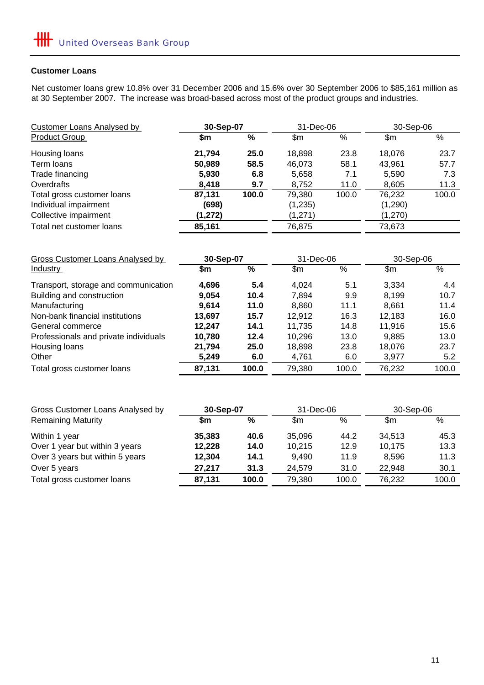#### **Customer Loans**

Net customer loans grew 10.8% over 31 December 2006 and 15.6% over 30 September 2006 to \$85,161 million as at 30 September 2007. The increase was broad-based across most of the product groups and industries.

| Customer Loans Analysed by | 30-Sep-07 |       | 31-Dec-06 |       | 30-Sep-06 |       |
|----------------------------|-----------|-------|-----------|-------|-----------|-------|
| <b>Product Group</b>       | \$m       | %     | \$m       | %     | \$m       | $\%$  |
| Housing loans              | 21,794    | 25.0  | 18,898    | 23.8  | 18.076    | 23.7  |
| Term loans                 | 50,989    | 58.5  | 46,073    | 58.1  | 43,961    | 57.7  |
| Trade financing            | 5,930     | 6.8   | 5,658     | 7.1   | 5,590     | 7.3   |
| Overdrafts                 | 8,418     | 9.7   | 8,752     | 11.0  | 8,605     | 11.3  |
| Total gross customer loans | 87,131    | 100.0 | 79,380    | 100.0 | 76,232    | 100.0 |
| Individual impairment      | (698)     |       | (1,235)   |       | (1,290)   |       |
| Collective impairment      | (1, 272)  |       | (1,271)   |       | (1,270)   |       |
| Total net customer loans   | 85,161    |       | 76,875    |       | 73,673    |       |

| Gross Customer Loans Analysed by      | 30-Sep-07 |       | 31-Dec-06     |       | 30-Sep-06 |       |
|---------------------------------------|-----------|-------|---------------|-------|-----------|-------|
| <b>Industry</b>                       | \$m       | %     | $\mathsf{Sm}$ | %     | \$m       | $\%$  |
| Transport, storage and communication  | 4,696     | 5.4   | 4.024         | 5.1   | 3,334     | 4.4   |
| Building and construction             | 9,054     | 10.4  | 7,894         | 9.9   | 8,199     | 10.7  |
| Manufacturing                         | 9,614     | 11.0  | 8,860         | 11.1  | 8,661     | 11.4  |
| Non-bank financial institutions       | 13,697    | 15.7  | 12,912        | 16.3  | 12,183    | 16.0  |
| General commerce                      | 12.247    | 14.1  | 11,735        | 14.8  | 11,916    | 15.6  |
| Professionals and private individuals | 10,780    | 12.4  | 10,296        | 13.0  | 9.885     | 13.0  |
| Housing loans                         | 21,794    | 25.0  | 18,898        | 23.8  | 18,076    | 23.7  |
| Other                                 | 5,249     | 6.0   | 4,761         | 6.0   | 3,977     | 5.2   |
| Total gross customer loans            | 87,131    | 100.0 | 79,380        | 100.0 | 76,232    | 100.0 |

| 30-Sep-07 |       | 31-Dec-06 |       | 30-Sep-06 |       |
|-----------|-------|-----------|-------|-----------|-------|
| \$m       | %     | \$m       | %     | \$m       | ℅     |
| 35,383    | 40.6  | 35,096    | 44.2  | 34,513    | 45.3  |
| 12,228    | 14.0  | 10.215    | 12.9  | 10,175    | 13.3  |
| 12,304    | 14.1  | 9.490     | 11.9  | 8.596     | 11.3  |
| 27,217    | 31.3  | 24,579    | 31.0  | 22,948    | 30.1  |
| 87,131    | 100.0 | 79.380    | 100.0 | 76.232    | 100.0 |
|           |       |           |       |           |       |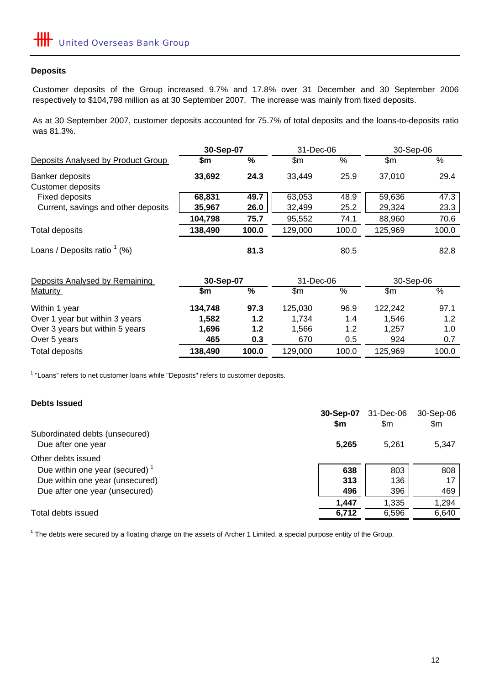#### **Deposits**

Customer deposits of the Group increased 9.7% and 17.8% over 31 December and 30 September 2006 respectively to \$104,798 million as at 30 September 2007. The increase was mainly from fixed deposits.

As at 30 September 2007, customer deposits accounted for 75.7% of total deposits and the loans-to-deposits ratio was 81.3%.

|                                     | 30-Sep-07 |               | 31-Dec-06 |       | 30-Sep-06 |       |
|-------------------------------------|-----------|---------------|-----------|-------|-----------|-------|
| Deposits Analysed by Product Group  | \$m       | %             | \$m       | $\%$  | \$m       | %     |
| Banker deposits                     | 33,692    | 24.3          | 33,449    | 25.9  | 37,010    | 29.4  |
| <b>Customer deposits</b>            |           |               |           |       |           |       |
| <b>Fixed deposits</b>               | 68,831    | 49.7          | 63,053    | 48.9  | 59,636    | 47.3  |
| Current, savings and other deposits | 35,967    | 26.0          | 32,499    | 25.2  | 29,324    | 23.3  |
|                                     | 104,798   | 75.7          | 95,552    | 74.1  | 88,960    | 70.6  |
| <b>Total deposits</b>               | 138,490   | 100.0         | 129,000   | 100.0 | 125,969   | 100.0 |
| Loans / Deposits ratio $(% )$       |           | 81.3          |           | 80.5  |           | 82.8  |
| Deposits Analysed by Remaining      | 30-Sep-07 |               | 31-Dec-06 |       | 30-Sep-06 |       |
| <b>Maturity</b>                     | \$m       | $\frac{0}{0}$ | \$m       | $\%$  | \$m       | %     |
| Within 1 year                       | 134,748   | 97.3          | 125,030   | 96.9  | 122,242   | 97.1  |
| Over 1 year but within 3 years      | 1,582     | 1.2           | 1,734     | 1.4   | 1,546     | 1.2   |
| Over 3 years but within 5 years     | 1,696     | $1.2$         | 1,566     | 1.2   | 1,257     | 1.0   |
| Over 5 years                        | 465       | 0.3           | 670       | 0.5   | 924       | 0.7   |
| <b>Total deposits</b>               | 138,490   | 100.0         | 129,000   | 100.0 | 125,969   | 100.0 |

<sup>1</sup> "Loans" refers to net customer loans while "Deposits" refers to customer deposits.

#### **Debts Issued**

|                                                      | 30-Sep-07 | 31-Dec-06 | 30-Sep-06 |
|------------------------------------------------------|-----------|-----------|-----------|
|                                                      | \$m       | \$m       | \$m       |
| Subordinated debts (unsecured)<br>Due after one year | 5,265     | 5.261     | 5,347     |
| Other debts issued                                   |           |           |           |
| Due within one year (secured) $1$                    | 638       | 803       | 808       |
| Due within one year (unsecured)                      | 313       | 136       | 17        |
| Due after one year (unsecured)                       | 496       | 396       | 469       |
|                                                      | 1,447     | 1.335     | 1,294     |
| Total debts issued                                   | 6,712     | 6,596     | 6,640     |

 $1$  The debts were secured by a floating charge on the assets of Archer 1 Limited, a special purpose entity of the Group.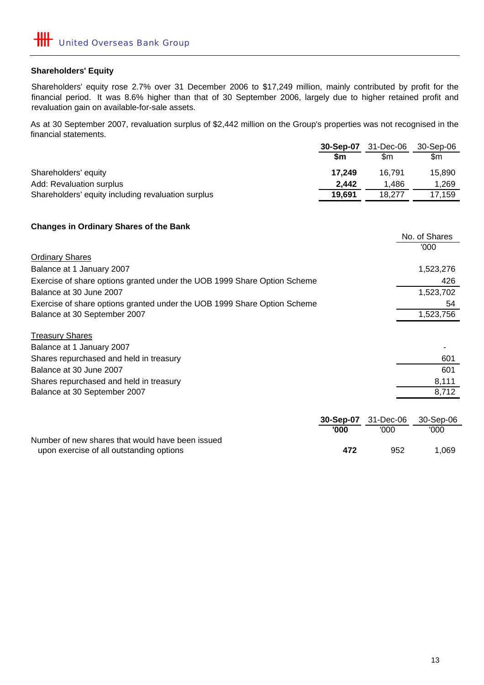#### **Shareholders' Equity**

Shareholders' equity rose 2.7% over 31 December 2006 to \$17,249 million, mainly contributed by profit for the financial period. It was 8.6% higher than that of 30 September 2006, largely due to higher retained profit and revaluation gain on available-for-sale assets.

As at 30 September 2007, revaluation surplus of \$2,442 million on the Group's properties was not recognised in the financial statements.

|                                                    | 30-Sep-07 | 31-Dec-06 | 30-Sep-06 |
|----------------------------------------------------|-----------|-----------|-----------|
|                                                    | \$m       | \$m       | \$m       |
| Shareholders' equity                               | 17.249    | 16.791    | 15.890    |
| Add: Revaluation surplus                           | 2.442     | 1.486     | 1.269     |
| Shareholders' equity including revaluation surplus | 19,691    | 18.277    | 17.159    |

#### **Changes in Ordinary Shares of the Bank**

|                                                                          | No. of Shares |
|--------------------------------------------------------------------------|---------------|
|                                                                          | '000          |
| <b>Ordinary Shares</b>                                                   |               |
| Balance at 1 January 2007                                                | 1,523,276     |
| Exercise of share options granted under the UOB 1999 Share Option Scheme | 426           |
| Balance at 30 June 2007                                                  | 1,523,702     |
| Exercise of share options granted under the UOB 1999 Share Option Scheme | 54            |
| Balance at 30 September 2007                                             | 1,523,756     |
| <b>Treasury Shares</b>                                                   |               |
| Balance at 1 January 2007                                                |               |
| Shares repurchased and held in treasury                                  | 601           |
| Balance at 30 June 2007                                                  | 601           |
| Shares repurchased and held in treasury                                  | 8,111         |
| Balance at 30 September 2007                                             | 8,712         |
|                                                                          |               |

|                                                  |      | <b>30-Sep-07</b> 31-Dec-06 30-Sep-06 |      |
|--------------------------------------------------|------|--------------------------------------|------|
|                                                  | '000 | '000                                 | '000 |
| Number of new shares that would have been issued |      |                                      |      |
| upon exercise of all outstanding options         | 472  | 952                                  | .069 |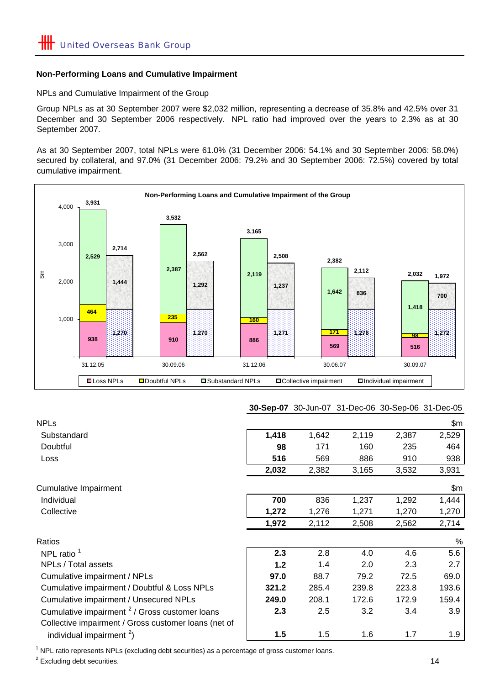#### **Non-Performing Loans and Cumulative Impairment**

#### NPLs and Cumulative Impairment of the Group

Group NPLs as at 30 September 2007 were \$2,032 million, representing a decrease of 35.8% and 42.5% over 31 December and 30 September 2006 respectively. NPL ratio had improved over the years to 2.3% as at 30 September 2007.

As at 30 September 2007, total NPLs were 61.0% (31 December 2006: 54.1% and 30 September 2006: 58.0%) secured by collateral, and 97.0% (31 December 2006: 79.2% and 30 September 2006: 72.5%) covered by total cumulative impairment.



#### **30-Sep-07** 30-Jun-07 31-Dec-06 30-Sep-06 31-Dec-05

| <b>NPLs</b>                                                                                                       |       |       |       |       | \$m   |
|-------------------------------------------------------------------------------------------------------------------|-------|-------|-------|-------|-------|
| Substandard                                                                                                       | 1,418 | 1,642 | 2,119 | 2,387 | 2,529 |
| Doubtful                                                                                                          | 98    | 171   | 160   | 235   | 464   |
| Loss                                                                                                              | 516   | 569   | 886   | 910   | 938   |
|                                                                                                                   | 2,032 | 2,382 | 3,165 | 3,532 | 3,931 |
| <b>Cumulative Impairment</b>                                                                                      |       |       |       |       | \$m   |
| Individual                                                                                                        | 700   | 836   | 1,237 | 1,292 | 1,444 |
| Collective                                                                                                        | 1,272 | 1,276 | 1,271 | 1,270 | 1,270 |
|                                                                                                                   | 1,972 | 2,112 | 2,508 | 2,562 | 2,714 |
| Ratios                                                                                                            |       |       |       |       | %     |
| NPL ratio <sup>1</sup>                                                                                            | 2.3   | 2.8   | 4.0   | 4.6   | 5.6   |
| NPLs / Total assets                                                                                               | 1.2   | 1.4   | 2.0   | 2.3   | 2.7   |
| Cumulative impairment / NPLs                                                                                      | 97.0  | 88.7  | 79.2  | 72.5  | 69.0  |
| Cumulative impairment / Doubtful & Loss NPLs                                                                      | 321.2 | 285.4 | 239.8 | 223.8 | 193.6 |
| Cumulative impairment / Unsecured NPLs                                                                            | 249.0 | 208.1 | 172.6 | 172.9 | 159.4 |
| Cumulative impairment <sup>2</sup> / Gross customer loans<br>Collective impairment / Gross customer loans (net of | 2.3   | 2.5   | 3.2   | 3.4   | 3.9   |
| individual impairment $2$ )                                                                                       | 1.5   | 1.5   | 1.6   | 1.7   | 1.9   |

<sup>1</sup> NPL ratio represents NPLs (excluding debt securities) as a percentage of gross customer loans.

 $2$  Excluding debt securities.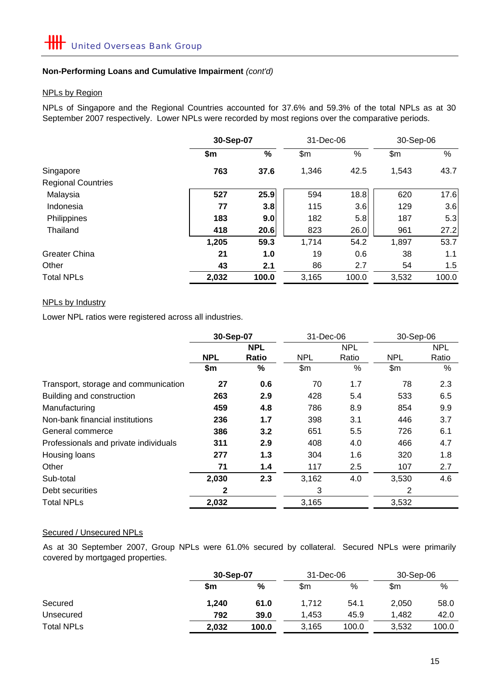#### **Non-Performing Loans and Cumulative Impairment** *(cont'd)*

#### NPLs by Region

NPLs of Singapore and the Regional Countries accounted for 37.6% and 59.3% of the total NPLs as at 30 September 2007 respectively. Lower NPLs were recorded by most regions over the comparative periods.

|                           |       | 30-Sep-07 |       | 31-Dec-06 | 30-Sep-06 |       |
|---------------------------|-------|-----------|-------|-----------|-----------|-------|
|                           | \$m   | %         | \$m   | %         | \$m       | $\%$  |
| Singapore                 | 763   | 37.6      | 1,346 | 42.5      | 1,543     | 43.7  |
| <b>Regional Countries</b> |       |           |       |           |           |       |
| Malaysia                  | 527   | 25.9      | 594   | 18.8      | 620       | 17.6  |
| Indonesia                 | 77    | 3.8       | 115   | 3.6       | 129       | 3.6   |
| Philippines               | 183   | 9.0       | 182   | 5.8       | 187       | 5.3   |
| Thailand                  | 418   | 20.6      | 823   | 26.0      | 961       | 27.2  |
|                           | 1,205 | 59.3      | 1,714 | 54.2      | 1,897     | 53.7  |
| <b>Greater China</b>      | 21    | 1.0       | 19    | 0.6       | 38        | 1.1   |
| Other                     | 43    | 2.1       | 86    | 2.7       | 54        | 1.5   |
| <b>Total NPLs</b>         | 2,032 | 100.0     | 3,165 | 100.0     | 3,532     | 100.0 |

#### NPLs by Industry

Lower NPL ratios were registered across all industries.

|                                       | 30-Sep-07  |       | 31-Dec-06  |       | 30-Sep-06  |            |
|---------------------------------------|------------|-------|------------|-------|------------|------------|
|                                       | <b>NPL</b> |       | <b>NPL</b> |       |            | <b>NPL</b> |
|                                       | <b>NPL</b> | Ratio | <b>NPL</b> | Ratio | <b>NPL</b> | Ratio      |
|                                       | \$m        | %     | \$m\$      | %     | \$m        | %          |
| Transport, storage and communication  | 27         | 0.6   | 70         | 1.7   | 78         | 2.3        |
| Building and construction             | 263        | 2.9   | 428        | 5.4   | 533        | 6.5        |
| Manufacturing                         | 459        | 4.8   | 786        | 8.9   | 854        | 9.9        |
| Non-bank financial institutions       | 236        | 1.7   | 398        | 3.1   | 446        | 3.7        |
| General commerce                      | 386        | 3.2   | 651        | 5.5   | 726        | 6.1        |
| Professionals and private individuals | 311        | 2.9   | 408        | 4.0   | 466        | 4.7        |
| Housing loans                         | 277        | 1.3   | 304        | 1.6   | 320        | 1.8        |
| Other                                 | 71         | 1.4   | 117        | 2.5   | 107        | 2.7        |
| Sub-total                             | 2,030      | 2.3   | 3,162      | 4.0   | 3,530      | 4.6        |
| Debt securities                       | 2          |       | 3          |       | 2          |            |
| <b>Total NPLs</b>                     | 2,032      |       | 3,165      |       | 3,532      |            |

#### Secured / Unsecured NPLs

As at 30 September 2007, Group NPLs were 61.0% secured by collateral. Secured NPLs were primarily covered by mortgaged properties.

|                   |       | 30-Sep-07 |       | 31-Dec-06 |       | 30-Sep-06 |  |
|-------------------|-------|-----------|-------|-----------|-------|-----------|--|
|                   | \$m   | $\%$      | \$m   | %         | \$m   | %         |  |
| Secured           | 1,240 | 61.0      | 1.712 | 54.1      | 2,050 | 58.0      |  |
| Unsecured         | 792   | 39.0      | 1.453 | 45.9      | 1.482 | 42.0      |  |
| <b>Total NPLs</b> | 2,032 | 100.0     | 3,165 | 100.0     | 3,532 | 100.0     |  |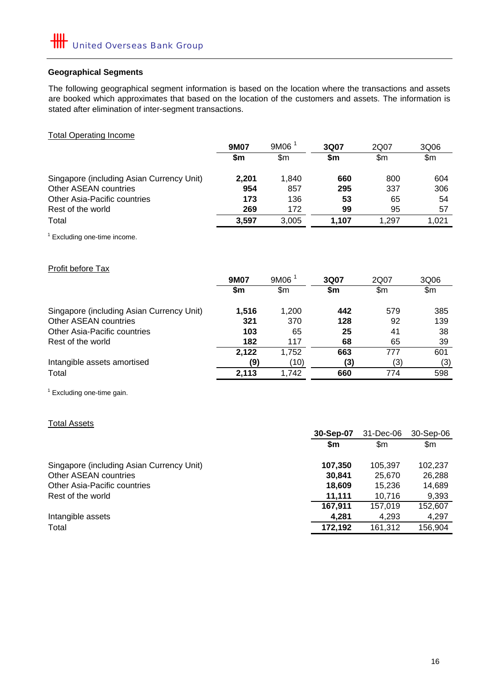#### **Geographical Segments**

The following geographical segment information is based on the location where the transactions and assets are booked which approximates that based on the location of the customers and assets. The information is stated after elimination of inter-segment transactions.

| <b>Total Operating Income</b>             |       |                   |       |       |       |
|-------------------------------------------|-------|-------------------|-------|-------|-------|
|                                           | 9M07  | 9M06 <sup>1</sup> | 3Q07  | 2Q07  | 3Q06  |
|                                           | \$m   | \$m\$             | \$m   | \$m\$ | \$m\$ |
| Singapore (including Asian Currency Unit) | 2,201 | 1,840             | 660   | 800   | 604   |
| <b>Other ASEAN countries</b>              | 954   | 857               | 295   | 337   | 306   |
| Other Asia-Pacific countries              | 173   | 136               | 53    | 65    | 54    |
| Rest of the world                         | 269   | 172               | 99    | 95    | 57    |
| Total                                     | 3,597 | 3,005             | 1,107 | 1,297 | 1,021 |
| <sup>1</sup> Excluding one-time income.   |       |                   |       |       |       |
| <b>Profit before Tax</b>                  | 9M07  | 9M06 <sup>1</sup> | 3Q07  | 2Q07  | 3Q06  |
|                                           | \$m   | \$m\$             | \$m   | \$m\$ | \$m   |
|                                           |       |                   |       |       |       |
| Singapore (including Asian Currency Unit) | 1,516 | 1,200             | 442   | 579   | 385   |
| <b>Other ASEAN countries</b>              | 321   | 370               | 128   | 92    | 139   |
| Other Asia-Pacific countries              | 103   | 65                | 25    | 41    | 38    |
| Rest of the world                         | 182   | 117               | 68    | 65    | 39    |
|                                           | 2,122 | 1,752             | 663   | 777   | 601   |
| Intangible assets amortised               | (9)   | (10)              | (3)   | (3)   | (3)   |
| Total                                     | 2,113 | 1,742             | 660   | 774   | 598   |
| $1$ Excluding one-time gain               |       |                   |       |       |       |

Excluding one-time gain.

|                                           | 31-Dec-06<br>30-Sep-07 |         | 30-Sep-06 |
|-------------------------------------------|------------------------|---------|-----------|
|                                           | \$m                    | \$m     | \$m       |
| Singapore (including Asian Currency Unit) | 107,350                | 105,397 | 102,237   |
| Other ASEAN countries                     | 30,841                 | 25,670  | 26,288    |
| Other Asia-Pacific countries              | 18,609                 | 15,236  | 14,689    |
| Rest of the world                         | 11.111                 | 10.716  | 9,393     |
|                                           | 167,911                | 157,019 | 152,607   |
| Intangible assets                         | 4,281                  | 4,293   | 4,297     |
| Total                                     | 172,192                | 161.312 | 156,904   |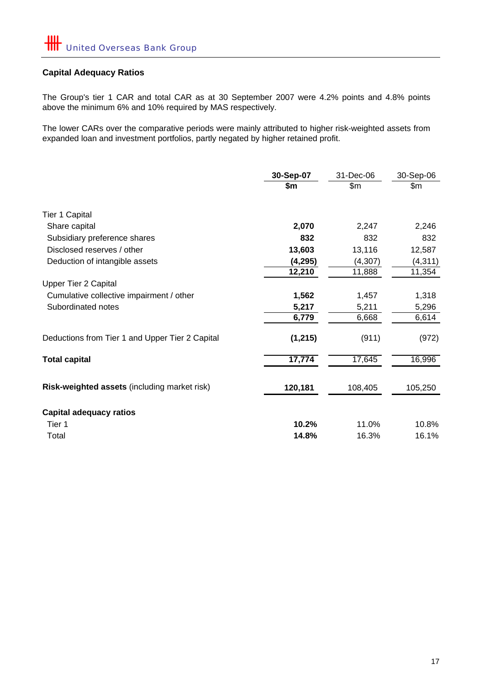# **Capital Adequacy Ratios**

The Group's tier 1 CAR and total CAR as at 30 September 2007 were 4.2% points and 4.8% points above the minimum 6% and 10% required by MAS respectively.

The lower CARs over the comparative periods were mainly attributed to higher risk-weighted assets from expanded loan and investment portfolios, partly negated by higher retained profit.

|                                                 | 30-Sep-07 | 31-Dec-06 | 30-Sep-06 |
|-------------------------------------------------|-----------|-----------|-----------|
|                                                 | \$m       | \$m       | \$m       |
| <b>Tier 1 Capital</b>                           |           |           |           |
| Share capital                                   | 2,070     | 2,247     | 2,246     |
| Subsidiary preference shares                    | 832       | 832       | 832       |
| Disclosed reserves / other                      | 13,603    | 13,116    | 12,587    |
| Deduction of intangible assets                  | (4, 295)  | (4, 307)  | (4, 311)  |
|                                                 | 12,210    | 11,888    | 11,354    |
| <b>Upper Tier 2 Capital</b>                     |           |           |           |
| Cumulative collective impairment / other        | 1,562     | 1,457     | 1,318     |
| Subordinated notes                              | 5,217     | 5,211     | 5,296     |
|                                                 | 6,779     | 6,668     | 6,614     |
| Deductions from Tier 1 and Upper Tier 2 Capital | (1,215)   | (911)     | (972)     |
| <b>Total capital</b>                            | 17,774    | 17,645    | 16,996    |
| Risk-weighted assets (including market risk)    | 120,181   | 108,405   | 105,250   |
| <b>Capital adequacy ratios</b>                  |           |           |           |
| Tier 1                                          | 10.2%     | 11.0%     | 10.8%     |
| Total                                           | 14.8%     | 16.3%     | 16.1%     |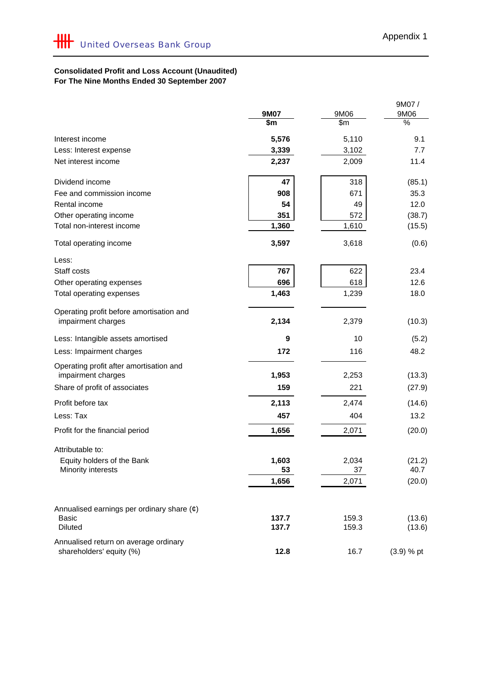## **Consolidated Profit and Loss Account (Unaudited) For The Nine Months Ended 30 September 2007**

|                                                                   | 9M07  | 9M06  | 9M07/<br>9M06 |
|-------------------------------------------------------------------|-------|-------|---------------|
|                                                                   | \$m   | \$m\$ | %             |
| Interest income                                                   | 5,576 | 5,110 | 9.1           |
| Less: Interest expense                                            | 3,339 | 3,102 | 7.7           |
| Net interest income                                               | 2,237 | 2,009 | 11.4          |
| Dividend income                                                   | 47    | 318   | (85.1)        |
| Fee and commission income                                         | 908   | 671   | 35.3          |
| Rental income                                                     | 54    | 49    | 12.0          |
| Other operating income                                            | 351   | 572   | (38.7)        |
| Total non-interest income                                         | 1,360 | 1,610 | (15.5)        |
| Total operating income                                            | 3,597 | 3,618 | (0.6)         |
| Less:                                                             |       |       |               |
| Staff costs                                                       | 767   | 622   | 23.4          |
| Other operating expenses                                          | 696   | 618   | 12.6          |
| Total operating expenses                                          | 1,463 | 1,239 | 18.0          |
| Operating profit before amortisation and<br>impairment charges    | 2,134 | 2,379 | (10.3)        |
| Less: Intangible assets amortised                                 | 9     | 10    | (5.2)         |
| Less: Impairment charges                                          | 172   | 116   | 48.2          |
| Operating profit after amortisation and<br>impairment charges     | 1,953 | 2,253 | (13.3)        |
| Share of profit of associates                                     | 159   | 221   | (27.9)        |
| Profit before tax                                                 | 2,113 | 2,474 | (14.6)        |
| Less: Tax                                                         | 457   | 404   | 13.2          |
| Profit for the financial period                                   | 1,656 | 2,071 | (20.0)        |
| Attributable to:                                                  |       |       |               |
| Equity holders of the Bank                                        | 1,603 | 2,034 | (21.2)        |
| Minority interests                                                | 53    | 37    | 40.7          |
|                                                                   | 1,656 | 2,071 | (20.0)        |
| Annualised earnings per ordinary share $(e)$                      |       |       |               |
| <b>Basic</b>                                                      | 137.7 | 159.3 | (13.6)        |
| <b>Diluted</b>                                                    | 137.7 | 159.3 | (13.6)        |
| Annualised return on average ordinary<br>shareholders' equity (%) | 12.8  | 16.7  | $(3.9) %$ pt  |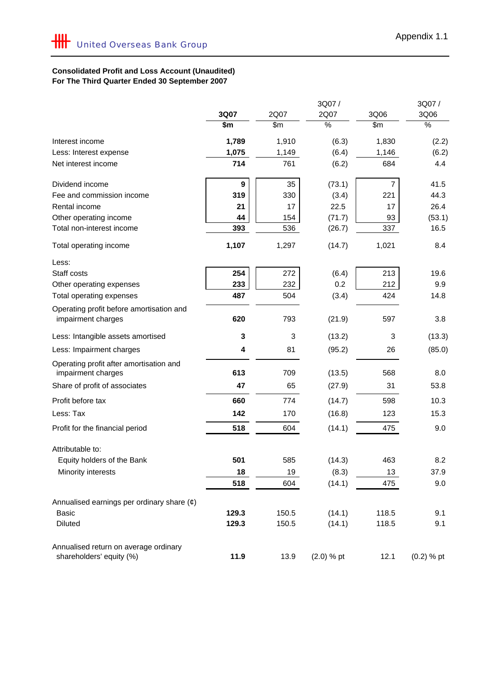## **Consolidated Profit and Loss Account (Unaudited) For The Third Quarter Ended 30 September 2007**

|                                                                |                  |       | 3Q07/        |                  | 3Q07/        |
|----------------------------------------------------------------|------------------|-------|--------------|------------------|--------------|
|                                                                | 3Q07             | 2Q07  | 2Q07         | 3Q06             | 3Q06         |
|                                                                | \$m              | \$m   | %            | $\overline{\$m}$ | %            |
| Interest income                                                | 1,789            | 1,910 | (6.3)        | 1,830            | (2.2)        |
| Less: Interest expense                                         | 1,075            | 1,149 | (6.4)        | 1,146            | (6.2)        |
| Net interest income                                            | 714              | 761   | (6.2)        | 684              | 4.4          |
| Dividend income                                                | $\boldsymbol{9}$ | 35    | (73.1)       | 7                | 41.5         |
| Fee and commission income                                      | 319              | 330   | (3.4)        | 221              | 44.3         |
| Rental income                                                  | 21               | 17    | 22.5         | 17               | 26.4         |
| Other operating income                                         | 44               | 154   | (71.7)       | 93               | (53.1)       |
| Total non-interest income                                      | 393              | 536   | (26.7)       | 337              | 16.5         |
| Total operating income                                         | 1,107            | 1,297 | (14.7)       | 1,021            | 8.4          |
| Less:                                                          |                  |       |              |                  |              |
| Staff costs                                                    | 254              | 272   | (6.4)        | 213              | 19.6         |
| Other operating expenses                                       | 233              | 232   | 0.2          | 212              | 9.9          |
| Total operating expenses                                       | 487              | 504   | (3.4)        | 424              | 14.8         |
| Operating profit before amortisation and<br>impairment charges | 620              | 793   | (21.9)       | 597              | 3.8          |
| Less: Intangible assets amortised                              | 3                | 3     | (13.2)       | 3                | (13.3)       |
| Less: Impairment charges                                       | 4                | 81    | (95.2)       | 26               | (85.0)       |
| Operating profit after amortisation and<br>impairment charges  | 613              | 709   | (13.5)       | 568              | 8.0          |
| Share of profit of associates                                  | 47               | 65    | (27.9)       | 31               | 53.8         |
| Profit before tax                                              | 660              | 774   | (14.7)       | 598              | 10.3         |
| Less: Tax                                                      | 142              | 170   | (16.8)       | 123              | 15.3         |
| Profit for the financial period                                | 518              | 604   | (14.1)       | 475              | 9.0          |
| Attributable to:                                               |                  |       |              |                  |              |
| Equity holders of the Bank                                     | 501              | 585   | (14.3)       | 463              | 8.2          |
| Minority interests                                             | 18               | 19    | (8.3)        | 13               | 37.9         |
|                                                                | 518              | 604   | (14.1)       | 475              | 9.0          |
| Annualised earnings per ordinary share $(e)$                   |                  |       |              |                  |              |
| Basic                                                          | 129.3            | 150.5 | (14.1)       | 118.5            | 9.1          |
| <b>Diluted</b>                                                 | 129.3            | 150.5 | (14.1)       | 118.5            | 9.1          |
| Annualised return on average ordinary                          |                  |       |              |                  |              |
| shareholders' equity (%)                                       | 11.9             | 13.9  | $(2.0) %$ pt | 12.1             | $(0.2)$ % pt |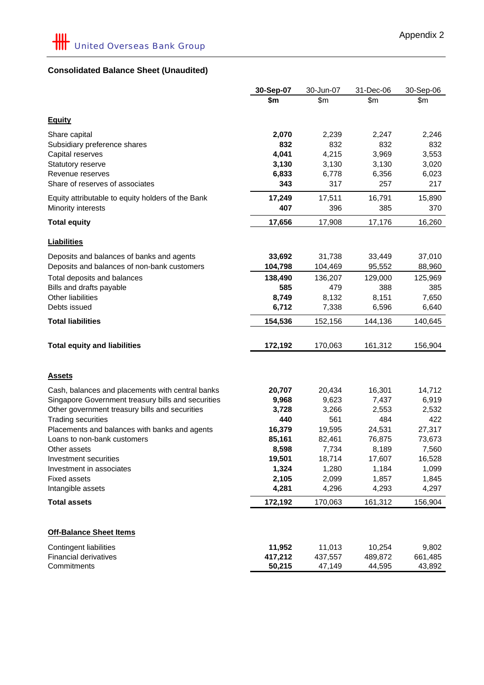# **Consolidated Balance Sheet (Unaudited)**

|                                                    | 30-Sep-07         | 30-Jun-07         | 31-Dec-06         | 30-Sep-06         |
|----------------------------------------------------|-------------------|-------------------|-------------------|-------------------|
|                                                    | \$m               | \$m               | \$m               | \$m               |
|                                                    |                   |                   |                   |                   |
| <b>Equity</b>                                      |                   |                   |                   |                   |
| Share capital                                      | 2,070             | 2,239             | 2,247             | 2,246             |
| Subsidiary preference shares                       | 832               | 832               | 832               | 832               |
| Capital reserves                                   | 4,041             | 4,215             | 3,969             | 3,553             |
| Statutory reserve                                  | 3,130             | 3,130             | 3,130             | 3,020             |
| Revenue reserves                                   | 6,833             | 6,778             | 6,356             | 6,023             |
| Share of reserves of associates                    | 343               | 317               | 257               | 217               |
| Equity attributable to equity holders of the Bank  | 17,249            | 17,511            | 16,791            | 15,890            |
| Minority interests                                 | 407               | 396               | 385               | 370               |
| <b>Total equity</b>                                | 17,656            | 17,908            | 17,176            | 16,260            |
| <b>Liabilities</b>                                 |                   |                   |                   |                   |
| Deposits and balances of banks and agents          | 33,692            | 31,738            | 33,449            | 37,010            |
| Deposits and balances of non-bank customers        | 104,798           | 104,469           | 95,552            | 88,960            |
| Total deposits and balances                        | 138,490           | 136,207           | 129,000           | 125,969           |
| Bills and drafts payable                           | 585               | 479               | 388               | 385               |
| Other liabilities                                  | 8,749             | 8,132             | 8,151             | 7,650             |
| Debts issued                                       | 6,712             | 7,338             | 6,596             | 6,640             |
| <b>Total liabilities</b>                           | 154,536           | 152,156           | 144,136           | 140,645           |
|                                                    |                   |                   |                   |                   |
| <b>Total equity and liabilities</b>                | 172,192           | 170,063           | 161,312           | 156,904           |
|                                                    |                   |                   |                   |                   |
| <b>Assets</b>                                      |                   |                   |                   |                   |
| Cash, balances and placements with central banks   | 20,707            | 20,434            | 16,301            | 14,712            |
| Singapore Government treasury bills and securities | 9,968             | 9,623             | 7,437             | 6,919             |
| Other government treasury bills and securities     | 3,728             | 3,266             | 2,553             | 2,532             |
| <b>Trading securities</b>                          | 440               | 561               | 484               | 422               |
| Placements and balances with banks and agents      | 16,379            | 19,595            | 24,531            | 27,317            |
| Loans to non-bank customers                        | 85,161            | 82,461            | 76,875            | 73,673            |
| Other assets                                       | 8,598             | 7,734             | 8,189             | 7,560             |
| Investment securities                              | 19,501            | 18,714            | 17,607            | 16,528            |
| Investment in associates                           | 1,324             | 1,280             | 1,184             | 1,099             |
| <b>Fixed assets</b>                                | 2,105             | 2,099             | 1,857             | 1,845             |
| Intangible assets                                  | 4,281             | 4,296             | 4,293             | 4,297             |
| <b>Total assets</b>                                | 172,192           | 170,063           | 161,312           | 156,904           |
| <b>Off-Balance Sheet Items</b>                     |                   |                   |                   |                   |
|                                                    |                   |                   |                   |                   |
| <b>Contingent liabilities</b>                      | 11,952            | 11,013            | 10,254            | 9,802             |
| <b>Financial derivatives</b><br>Commitments        | 417,212<br>50,215 | 437,557<br>47,149 | 489,872<br>44,595 | 661,485<br>43,892 |
|                                                    |                   |                   |                   |                   |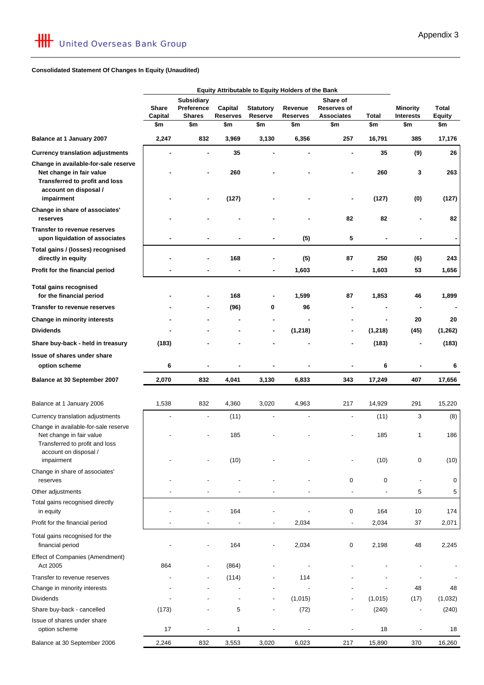#### **Consolidated Statement Of Changes In Equity (Unaudited)**

|                                                                                                    |                  |                               |                            |                | Equity Attributable to Equity Holders of the Bank |                          |          |                         |                              |  |  |  |                            |             |       |                 |                               |
|----------------------------------------------------------------------------------------------------|------------------|-------------------------------|----------------------------|----------------|---------------------------------------------------|--------------------------|----------|-------------------------|------------------------------|--|--|--|----------------------------|-------------|-------|-----------------|-------------------------------|
|                                                                                                    |                  | <b>Subsidiary</b><br>Share of |                            |                |                                                   |                          |          |                         |                              |  |  |  |                            |             |       |                 |                               |
|                                                                                                    | Share<br>Capital | Preference<br><b>Shares</b>   | Capital<br><b>Reserves</b> |                | <b>Statutory</b>                                  | Revenue                  |          |                         |                              |  |  |  | Reserve<br><b>Reserves</b> | Reserves of | Total | <b>Minority</b> | <b>Total</b><br><b>Equity</b> |
|                                                                                                    | \$m              | \$m                           | \$m                        | \$m            | \$m                                               | <b>Associates</b><br>\$m | \$m      | <b>Interests</b><br>\$m | \$m                          |  |  |  |                            |             |       |                 |                               |
| Balance at 1 January 2007                                                                          | 2,247            | 832                           | 3,969                      | 3,130          | 6,356                                             | 257                      | 16,791   | 385                     | 17,176                       |  |  |  |                            |             |       |                 |                               |
| <b>Currency translation adjustments</b>                                                            |                  |                               | 35                         |                |                                                   | ٠                        | 35       | (9)                     | 26                           |  |  |  |                            |             |       |                 |                               |
| Change in available-for-sale reserve<br>Net change in fair value<br>Transferred to profit and loss |                  |                               | 260                        |                |                                                   | ٠                        | 260      | 3                       | 263                          |  |  |  |                            |             |       |                 |                               |
| account on disposal /<br>impairment                                                                |                  |                               | (127)                      |                |                                                   |                          | (127)    | (0)                     | (127)                        |  |  |  |                            |             |       |                 |                               |
| Change in share of associates'<br>reserves                                                         |                  |                               |                            |                |                                                   | 82                       | 82       |                         | 82                           |  |  |  |                            |             |       |                 |                               |
| Transfer to revenue reserves<br>upon liquidation of associates                                     |                  |                               |                            |                | (5)                                               | 5                        |          |                         | $\qquad \qquad \blacksquare$ |  |  |  |                            |             |       |                 |                               |
| Total gains / (losses) recognised<br>directly in equity                                            |                  |                               | 168                        |                | (5)                                               | 87                       | 250      | (6)                     | 243                          |  |  |  |                            |             |       |                 |                               |
| Profit for the financial period                                                                    |                  |                               |                            | ۰              | 1,603                                             | ٠                        | 1,603    | 53                      | 1,656                        |  |  |  |                            |             |       |                 |                               |
| <b>Total gains recognised</b><br>for the financial period                                          |                  |                               | 168                        | ٠              | 1,599                                             | 87                       | 1,853    | 46                      | 1,899                        |  |  |  |                            |             |       |                 |                               |
| <b>Transfer to revenue reserves</b>                                                                |                  |                               | (96)                       | 0              | 96                                                |                          |          |                         |                              |  |  |  |                            |             |       |                 |                               |
| Change in minority interests                                                                       |                  |                               |                            |                |                                                   |                          |          | 20                      | 20                           |  |  |  |                            |             |       |                 |                               |
| <b>Dividends</b>                                                                                   |                  |                               |                            | ۰              | (1, 218)                                          |                          | (1, 218) | (45)                    | (1, 262)                     |  |  |  |                            |             |       |                 |                               |
| Share buy-back - held in treasury                                                                  | (183)            |                               |                            |                |                                                   |                          | (183)    |                         | (183)                        |  |  |  |                            |             |       |                 |                               |
| Issue of shares under share                                                                        |                  |                               |                            |                |                                                   |                          |          |                         |                              |  |  |  |                            |             |       |                 |                               |
| option scheme                                                                                      | 6                |                               |                            |                |                                                   |                          | 6        |                         | 6                            |  |  |  |                            |             |       |                 |                               |
| Balance at 30 September 2007                                                                       | 2,070            | 832                           | 4,041                      | 3,130          | 6,833                                             | 343                      | 17,249   | 407                     | 17,656                       |  |  |  |                            |             |       |                 |                               |
| Balance at 1 January 2006                                                                          | 1,538            | 832                           | 4,360                      | 3,020          | 4,963                                             | 217                      | 14,929   | 291                     | 15,220                       |  |  |  |                            |             |       |                 |                               |
| Currency translation adjustments                                                                   |                  |                               | (11)                       |                |                                                   |                          | (11)     | 3                       | (8)                          |  |  |  |                            |             |       |                 |                               |
| Change in available-for-sale reserve<br>Net change in fair value<br>Transferred to profit and loss |                  |                               | 185                        |                |                                                   |                          | 185      | $\mathbf{1}$            | 186                          |  |  |  |                            |             |       |                 |                               |
| account on disposal /<br>impairment                                                                |                  |                               | (10)                       |                |                                                   |                          | (10)     | $\pmb{0}$               | (10)                         |  |  |  |                            |             |       |                 |                               |
| Change in share of associates'<br>reserves                                                         |                  |                               |                            |                |                                                   | 0                        | 0        | $\blacksquare$          | 0                            |  |  |  |                            |             |       |                 |                               |
| Other adjustments                                                                                  |                  |                               |                            |                |                                                   | $\frac{1}{2}$            |          | 5                       | 5                            |  |  |  |                            |             |       |                 |                               |
| Total gains recognised directly<br>in equity                                                       |                  |                               | 164                        |                |                                                   | 0                        | 164      | 10                      | 174                          |  |  |  |                            |             |       |                 |                               |
| Profit for the financial period                                                                    |                  |                               |                            | $\overline{a}$ | 2,034                                             | $\overline{\phantom{a}}$ | 2,034    | 37                      | 2,071                        |  |  |  |                            |             |       |                 |                               |
| Total gains recognised for the<br>financial period                                                 |                  |                               | 164                        | $\overline{a}$ | 2,034                                             | 0                        | 2,198    | 48                      | 2,245                        |  |  |  |                            |             |       |                 |                               |
| Effect of Companies (Amendment)<br>Act 2005                                                        | 864              |                               | (864)                      |                |                                                   |                          |          |                         |                              |  |  |  |                            |             |       |                 |                               |
| Transfer to revenue reserves                                                                       |                  |                               | (114)                      |                | 114                                               |                          |          |                         |                              |  |  |  |                            |             |       |                 |                               |
| Change in minority interests                                                                       |                  |                               |                            |                |                                                   |                          |          | 48                      | 48                           |  |  |  |                            |             |       |                 |                               |
| <b>Dividends</b>                                                                                   |                  |                               |                            |                | (1,015)                                           |                          | (1,015)  | (17)                    | (1,032)                      |  |  |  |                            |             |       |                 |                               |
| Share buy-back - cancelled                                                                         | (173)            |                               | 5                          | $\overline{a}$ | (72)                                              |                          | (240)    |                         | (240)                        |  |  |  |                            |             |       |                 |                               |
| Issue of shares under share<br>option scheme                                                       | 17               |                               | 1                          |                |                                                   |                          | 18       |                         | 18                           |  |  |  |                            |             |       |                 |                               |
| Balance at 30 September 2006                                                                       | 2,246            | 832                           | 3,553                      | 3,020          | 6,023                                             | 217                      | 15,890   | 370                     | 16,260                       |  |  |  |                            |             |       |                 |                               |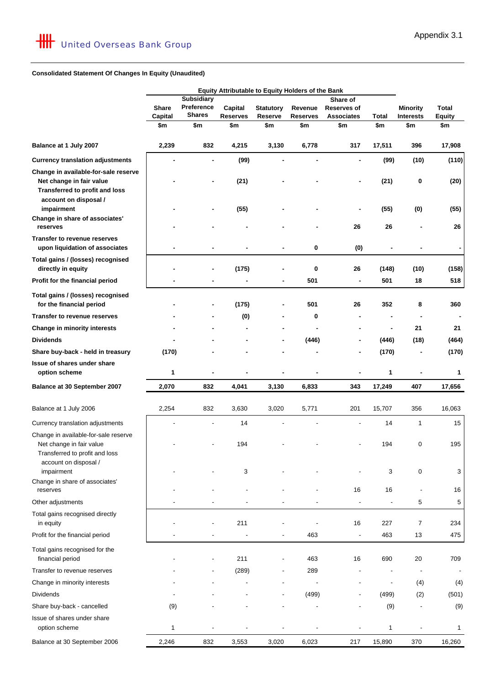#### **Consolidated Statement Of Changes In Equity (Unaudited)**

|                                                                                                                             |                |                             | Equity Attributable to Equity Holders of the Bank |                                    |         |                          |                          |                          |                          |  |  |          |  |                                  |              |                                     |                               |
|-----------------------------------------------------------------------------------------------------------------------------|----------------|-----------------------------|---------------------------------------------------|------------------------------------|---------|--------------------------|--------------------------|--------------------------|--------------------------|--|--|----------|--|----------------------------------|--------------|-------------------------------------|-------------------------------|
|                                                                                                                             |                | <b>Subsidiary</b>           |                                                   |                                    |         | Share of                 |                          |                          |                          |  |  |          |  |                                  |              |                                     |                               |
|                                                                                                                             | <b>Share</b>   | Preference<br><b>Shares</b> | Capital<br><b>Reserves</b>                        | <b>Statutory</b><br><b>Reserve</b> | Revenue |                          |                          |                          |                          |  |  | Reserves |  | Reserves of<br><b>Associates</b> | <b>Total</b> | <b>Minority</b><br><b>Interests</b> | <b>Total</b><br><b>Equity</b> |
|                                                                                                                             | Capital<br>\$m | \$m                         | \$m                                               | \$m                                | \$m     | \$m                      | \$m                      | \$m                      | \$m                      |  |  |          |  |                                  |              |                                     |                               |
|                                                                                                                             |                |                             |                                                   |                                    |         |                          |                          |                          |                          |  |  |          |  |                                  |              |                                     |                               |
| Balance at 1 July 2007                                                                                                      | 2,239          | 832                         | 4,215                                             | 3,130                              | 6,778   | 317                      | 17,511                   | 396                      | 17,908                   |  |  |          |  |                                  |              |                                     |                               |
| <b>Currency translation adjustments</b>                                                                                     |                | $\blacksquare$              | (99)                                              | ٠                                  |         |                          | (99)                     | (10)                     | (110)                    |  |  |          |  |                                  |              |                                     |                               |
| Change in available-for-sale reserve<br>Net change in fair value<br>Transferred to profit and loss<br>account on disposal / |                |                             | (21)                                              |                                    |         |                          | (21)                     | 0                        | (20)                     |  |  |          |  |                                  |              |                                     |                               |
| impairment<br>Change in share of associates'<br>reserves                                                                    |                |                             | (55)                                              |                                    |         | 26                       | (55)<br>26               | (0)                      | (55)<br>26               |  |  |          |  |                                  |              |                                     |                               |
| <b>Transfer to revenue reserves</b>                                                                                         |                |                             |                                                   |                                    |         |                          |                          |                          |                          |  |  |          |  |                                  |              |                                     |                               |
| upon liquidation of associates                                                                                              |                |                             |                                                   |                                    | 0       | (0)                      |                          |                          | $\blacksquare$           |  |  |          |  |                                  |              |                                     |                               |
| Total gains / (losses) recognised<br>directly in equity                                                                     |                |                             | (175)                                             |                                    | 0       | 26                       | (148)                    | (10)                     | (158)                    |  |  |          |  |                                  |              |                                     |                               |
| Profit for the financial period                                                                                             |                |                             |                                                   |                                    | 501     |                          | 501                      | 18                       | 518                      |  |  |          |  |                                  |              |                                     |                               |
| Total gains / (losses) recognised<br>for the financial period                                                               |                | ۰                           | (175)                                             | $\qquad \qquad \blacksquare$       | 501     | 26                       | 352                      | 8                        | 360                      |  |  |          |  |                                  |              |                                     |                               |
| <b>Transfer to revenue reserves</b>                                                                                         |                |                             | (0)                                               |                                    | 0       |                          |                          |                          |                          |  |  |          |  |                                  |              |                                     |                               |
| Change in minority interests                                                                                                |                |                             |                                                   |                                    |         |                          | ۰                        | 21                       | 21                       |  |  |          |  |                                  |              |                                     |                               |
| <b>Dividends</b>                                                                                                            |                |                             |                                                   |                                    | (446)   |                          | (446)                    | (18)                     | (464)                    |  |  |          |  |                                  |              |                                     |                               |
| Share buy-back - held in treasury                                                                                           | (170)          |                             |                                                   |                                    |         |                          | (170)                    |                          | (170)                    |  |  |          |  |                                  |              |                                     |                               |
| Issue of shares under share                                                                                                 |                |                             |                                                   |                                    |         |                          |                          |                          |                          |  |  |          |  |                                  |              |                                     |                               |
| option scheme                                                                                                               | 1              | $\blacksquare$              |                                                   | ä,                                 |         |                          | 1                        | ä,                       | 1                        |  |  |          |  |                                  |              |                                     |                               |
| Balance at 30 September 2007                                                                                                | 2,070          | 832                         | 4,041                                             | 3,130                              | 6,833   | 343                      | 17,249                   | 407                      | 17,656                   |  |  |          |  |                                  |              |                                     |                               |
| Balance at 1 July 2006                                                                                                      | 2,254          | 832                         | 3,630                                             | 3,020                              | 5,771   | 201                      | 15,707                   | 356                      | 16,063                   |  |  |          |  |                                  |              |                                     |                               |
| Currency translation adjustments                                                                                            |                |                             | 14                                                |                                    |         |                          | 14                       | 1                        | 15                       |  |  |          |  |                                  |              |                                     |                               |
| Change in available-for-sale reserve<br>Net change in fair value<br>Transferred to profit and loss<br>account on disposal / |                |                             | 194                                               |                                    |         |                          | 194                      | 0                        | 195                      |  |  |          |  |                                  |              |                                     |                               |
| impairment                                                                                                                  |                |                             | 3                                                 |                                    |         |                          | 3                        | 0                        | 3                        |  |  |          |  |                                  |              |                                     |                               |
| Change in share of associates'<br>reserves                                                                                  |                |                             |                                                   |                                    |         | 16                       | 16                       |                          | 16                       |  |  |          |  |                                  |              |                                     |                               |
| Other adjustments                                                                                                           |                |                             |                                                   |                                    |         |                          |                          | 5                        | $\,$ 5 $\,$              |  |  |          |  |                                  |              |                                     |                               |
| Total gains recognised directly<br>in equity                                                                                |                |                             | 211                                               |                                    |         | 16                       | 227                      | 7                        | 234                      |  |  |          |  |                                  |              |                                     |                               |
| Profit for the financial period                                                                                             |                |                             |                                                   |                                    | 463     | $\overline{\phantom{a}}$ | 463                      | 13                       | 475                      |  |  |          |  |                                  |              |                                     |                               |
| Total gains recognised for the<br>financial period                                                                          |                |                             | 211                                               |                                    | 463     | 16                       | 690                      | 20                       | 709                      |  |  |          |  |                                  |              |                                     |                               |
| Transfer to revenue reserves                                                                                                |                |                             | (289)                                             |                                    | 289     |                          |                          | $\overline{\phantom{a}}$ | $\overline{\phantom{a}}$ |  |  |          |  |                                  |              |                                     |                               |
| Change in minority interests                                                                                                |                |                             |                                                   |                                    |         |                          | $\overline{\phantom{a}}$ | (4)                      | (4)                      |  |  |          |  |                                  |              |                                     |                               |
| <b>Dividends</b>                                                                                                            |                |                             |                                                   |                                    | (499)   |                          | (499)                    | (2)                      | (501)                    |  |  |          |  |                                  |              |                                     |                               |
| Share buy-back - cancelled                                                                                                  | (9)            |                             |                                                   |                                    |         |                          | (9)                      |                          | (9)                      |  |  |          |  |                                  |              |                                     |                               |
| Issue of shares under share<br>option scheme                                                                                | 1              |                             |                                                   |                                    |         |                          | $\mathbf{1}$             |                          | 1                        |  |  |          |  |                                  |              |                                     |                               |
| Balance at 30 September 2006                                                                                                | 2,246          | 832                         | 3,553                                             | 3,020                              | 6,023   | 217                      | 15,890                   | 370                      | 16,260                   |  |  |          |  |                                  |              |                                     |                               |
|                                                                                                                             |                |                             |                                                   |                                    |         |                          |                          |                          |                          |  |  |          |  |                                  |              |                                     |                               |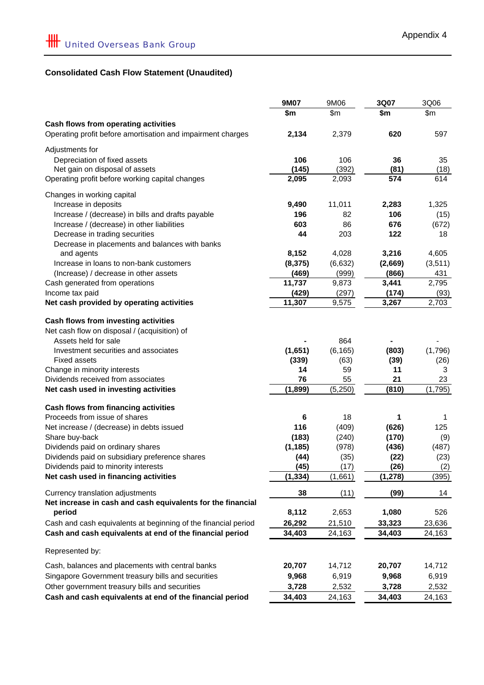# **Consolidated Cash Flow Statement (Unaudited)**

|                                                                | <b>9M07</b> | 9M06     | 3Q07     | 3Q06    |
|----------------------------------------------------------------|-------------|----------|----------|---------|
|                                                                | \$m         | \$m      | \$m      | \$m     |
| Cash flows from operating activities                           |             |          |          |         |
| Operating profit before amortisation and impairment charges    | 2,134       | 2,379    | 620      | 597     |
| Adjustments for                                                |             |          |          |         |
| Depreciation of fixed assets                                   | 106         | 106      | 36       | 35      |
| Net gain on disposal of assets                                 | (145)       | (392)    | (81)     | (18)    |
| Operating profit before working capital changes                | 2,095       | 2,093    | 574      | 614     |
| Changes in working capital                                     |             |          |          |         |
| Increase in deposits                                           | 9,490       | 11,011   | 2,283    | 1,325   |
| Increase / (decrease) in bills and drafts payable              | 196         | 82       | 106      | (15)    |
| Increase / (decrease) in other liabilities                     | 603         | 86       | 676      | (672)   |
| Decrease in trading securities                                 | 44          | 203      | 122      | 18      |
| Decrease in placements and balances with banks                 |             |          |          |         |
| and agents                                                     | 8,152       | 4,028    | 3,216    | 4,605   |
| Increase in loans to non-bank customers                        | (8, 375)    | (6,632)  | (2,669)  | (3,511) |
| (Increase) / decrease in other assets                          | (469)       | (999)    | (866)    | 431     |
| Cash generated from operations                                 | 11,737      | 9,873    | 3,441    | 2,795   |
| Income tax paid                                                | (429)       | (297)    | (174)    | (93)    |
| Net cash provided by operating activities                      | 11,307      | 9,575    | 3,267    | 2,703   |
| Cash flows from investing activities                           |             |          |          |         |
| Net cash flow on disposal / (acquisition) of                   |             |          |          |         |
| Assets held for sale                                           |             | 864      |          |         |
| Investment securities and associates                           | (1,651)     | (6, 165) | (803)    | (1,796) |
| <b>Fixed assets</b>                                            | (339)       | (63)     | (39)     | (26)    |
| Change in minority interests                                   | 14          | 59       | 11       | 3       |
| Dividends received from associates                             | 76          | 55       | 21       | 23      |
| Net cash used in investing activities                          | (1, 899)    | (5,250)  | (810)    | (1,795) |
| Cash flows from financing activities                           |             |          |          |         |
| Proceeds from issue of shares                                  | 6           | 18       | 1        | 1       |
| Net increase / (decrease) in debts issued                      | 116         | (409)    | (626)    | 125     |
| Share buy-back                                                 | (183)       | (240)    | (170)    | (9)     |
| Dividends paid on ordinary shares                              | (1, 185)    | (978)    | (436)    | (487)   |
| Dividends paid on subsidiary preference shares                 | (44)        | (35)     | (22)     | (23)    |
| Dividends paid to minority interests                           | (45)        | (17)     | (26)     | (2)     |
| Net cash used in financing activities                          | (1, 334)    | (1,661)  | (1, 278) | (395)   |
| Currency translation adjustments                               | 38          | (11)     | (99)     | 14      |
| Net increase in cash and cash equivalents for the financial    |             |          |          |         |
| period                                                         | 8,112       | 2,653    | 1,080    | 526     |
| Cash and cash equivalents at beginning of the financial period | 26,292      | 21,510   | 33,323   | 23,636  |
| Cash and cash equivalents at end of the financial period       | 34,403      | 24,163   | 34,403   | 24,163  |
| Represented by:                                                |             |          |          |         |
| Cash, balances and placements with central banks               | 20,707      | 14,712   | 20,707   | 14,712  |
|                                                                |             |          |          |         |
| Singapore Government treasury bills and securities             | 9,968       | 6,919    | 9,968    | 6,919   |
| Other government treasury bills and securities                 | 3,728       | 2,532    | 3,728    | 2,532   |
| Cash and cash equivalents at end of the financial period       | 34,403      | 24,163   | 34,403   | 24,163  |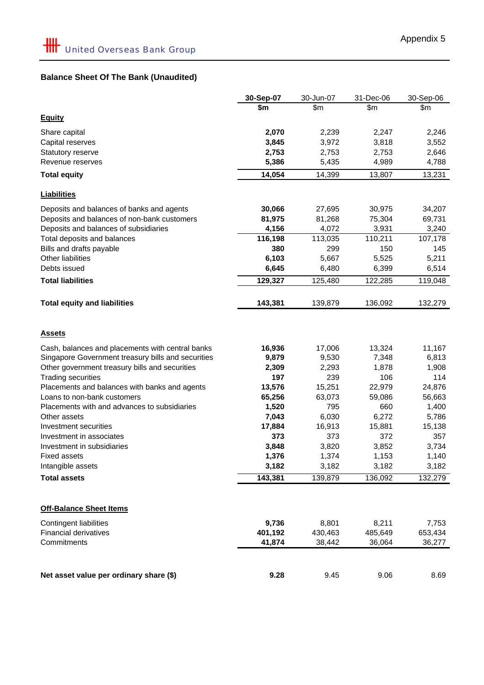# **Balance Sheet Of The Bank (Unaudited)**

|                                                    | 30-Sep-07 | 30-Jun-07 | 31-Dec-06 | 30-Sep-06 |
|----------------------------------------------------|-----------|-----------|-----------|-----------|
|                                                    | \$m       | \$m       | \$m\$     | \$m       |
| <b>Equity</b>                                      |           |           |           |           |
| Share capital                                      | 2,070     | 2,239     | 2,247     | 2,246     |
| Capital reserves                                   | 3,845     | 3,972     | 3,818     | 3,552     |
| Statutory reserve                                  | 2,753     | 2,753     | 2,753     | 2,646     |
| Revenue reserves                                   | 5,386     | 5,435     | 4,989     | 4,788     |
| <b>Total equity</b>                                | 14,054    | 14,399    | 13,807    | 13,231    |
| <b>Liabilities</b>                                 |           |           |           |           |
| Deposits and balances of banks and agents          | 30,066    | 27,695    | 30,975    | 34,207    |
| Deposits and balances of non-bank customers        | 81,975    | 81,268    | 75,304    | 69,731    |
| Deposits and balances of subsidiaries              | 4,156     | 4,072     | 3,931     | 3,240     |
| Total deposits and balances                        | 116,198   | 113,035   | 110,211   | 107,178   |
| Bills and drafts payable                           | 380       | 299       | 150       | 145       |
| Other liabilities                                  | 6,103     | 5,667     | 5,525     | 5,211     |
| Debts issued                                       | 6,645     | 6,480     | 6,399     | 6,514     |
| <b>Total liabilities</b>                           | 129,327   | 125,480   | 122,285   | 119,048   |
| <b>Total equity and liabilities</b>                | 143,381   | 139,879   | 136,092   | 132,279   |
| <u>Assets</u>                                      |           |           |           |           |
| Cash, balances and placements with central banks   | 16,936    | 17,006    | 13,324    | 11,167    |
| Singapore Government treasury bills and securities | 9,879     | 9,530     | 7,348     | 6,813     |
| Other government treasury bills and securities     | 2,309     | 2,293     | 1,878     | 1,908     |
| <b>Trading securities</b>                          | 197       | 239       | 106       | 114       |
| Placements and balances with banks and agents      | 13,576    | 15,251    | 22,979    | 24,876    |
| Loans to non-bank customers                        | 65,256    | 63,073    | 59,086    | 56,663    |
| Placements with and advances to subsidiaries       | 1,520     | 795       | 660       | 1,400     |
| Other assets                                       | 7,043     | 6,030     | 6,272     | 5,786     |
| Investment securities                              | 17,884    | 16,913    | 15,881    | 15,138    |
| Investment in associates                           | 373       | 373       | 372       | 357       |
| Investment in subsidiaries                         | 3,848     | 3,820     | 3,852     | 3,734     |
| <b>Fixed assets</b>                                | 1,376     | 1,374     | 1,153     | 1,140     |
| Intangible assets                                  | 3,182     | 3,182     | 3,182     | 3,182     |
| <b>Total assets</b>                                | 143,381   | 139,879   | 136,092   | 132,279   |
| <b>Off-Balance Sheet Items</b>                     |           |           |           |           |
| <b>Contingent liabilities</b>                      | 9,736     | 8,801     | 8,211     | 7,753     |
| <b>Financial derivatives</b>                       | 401,192   | 430,463   | 485,649   | 653,434   |
| Commitments                                        | 41,874    | 38,442    | 36,064    | 36,277    |
|                                                    |           |           |           |           |
| Net asset value per ordinary share (\$)            | 9.28      | 9.45      | 9.06      | 8.69      |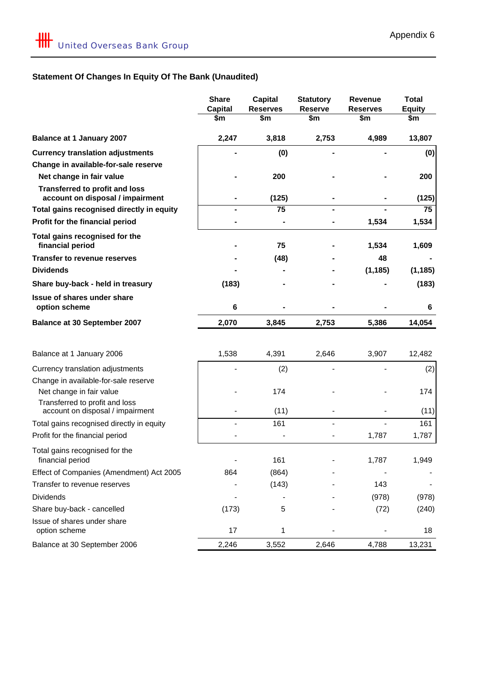# **Statement Of Changes In Equity Of The Bank (Unaudited)**

|                                                                           | <b>Share</b>   | <b>Capital</b>  | <b>Statutory</b> | <b>Revenue</b>  | <b>Total</b>  |
|---------------------------------------------------------------------------|----------------|-----------------|------------------|-----------------|---------------|
|                                                                           | <b>Capital</b> | <b>Reserves</b> | <b>Reserve</b>   | <b>Reserves</b> | <b>Equity</b> |
|                                                                           | \$m            | \$m             | \$m              | \$m             | \$m           |
| <b>Balance at 1 January 2007</b>                                          | 2,247          | 3,818           | 2,753            | 4,989           | 13,807        |
| <b>Currency translation adjustments</b>                                   |                | (0)             |                  |                 | (0)           |
| Change in available-for-sale reserve                                      |                |                 |                  |                 |               |
| Net change in fair value                                                  |                | 200             |                  |                 | 200           |
| <b>Transferred to profit and loss</b><br>account on disposal / impairment |                | (125)           |                  |                 | (125)         |
| Total gains recognised directly in equity                                 |                | 75              |                  |                 | 75            |
| Profit for the financial period                                           |                |                 |                  | 1,534           | 1,534         |
| Total gains recognised for the<br>financial period                        |                | 75              |                  | 1,534           | 1,609         |
| <b>Transfer to revenue reserves</b>                                       |                | (48)            |                  | 48              |               |
| <b>Dividends</b>                                                          |                |                 |                  | (1, 185)        | (1, 185)      |
| Share buy-back - held in treasury                                         | (183)          |                 |                  |                 | (183)         |
| <b>Issue of shares under share</b><br>option scheme                       | 6              |                 |                  |                 | 6             |
| <b>Balance at 30 September 2007</b>                                       | 2,070          | 3,845           | 2,753            | 5,386           | 14,054        |
|                                                                           |                |                 |                  |                 |               |
| Balance at 1 January 2006                                                 | 1,538          | 4,391           | 2,646            | 3,907           | 12,482        |
| Currency translation adjustments                                          |                | (2)             |                  |                 | (2)           |
| Change in available-for-sale reserve                                      |                |                 |                  |                 |               |
| Net change in fair value                                                  |                | 174             |                  |                 | 174           |
| Transferred to profit and loss<br>account on disposal / impairment        |                | (11)            |                  |                 | (11)          |
| Total gains recognised directly in equity                                 |                | 161             |                  |                 | 161           |
| Profit for the financial period                                           |                |                 |                  | 1,787           | 1,787         |
| Total gains recognised for the                                            |                |                 |                  |                 |               |
| financial period                                                          |                | 161             |                  | 1,787           | 1,949         |
| Effect of Companies (Amendment) Act 2005                                  | 864            | (864)           |                  |                 |               |
| Transfer to revenue reserves                                              |                | (143)           |                  | 143             |               |
| <b>Dividends</b>                                                          |                |                 |                  | (978)           | (978)         |
| Share buy-back - cancelled                                                | (173)          | 5               |                  | (72)            | (240)         |
| Issue of shares under share                                               |                |                 |                  |                 |               |
| option scheme                                                             | 17             | 1               |                  |                 | 18            |
| Balance at 30 September 2006                                              | 2,246          | 3,552           | 2,646            | 4,788           | 13,231        |